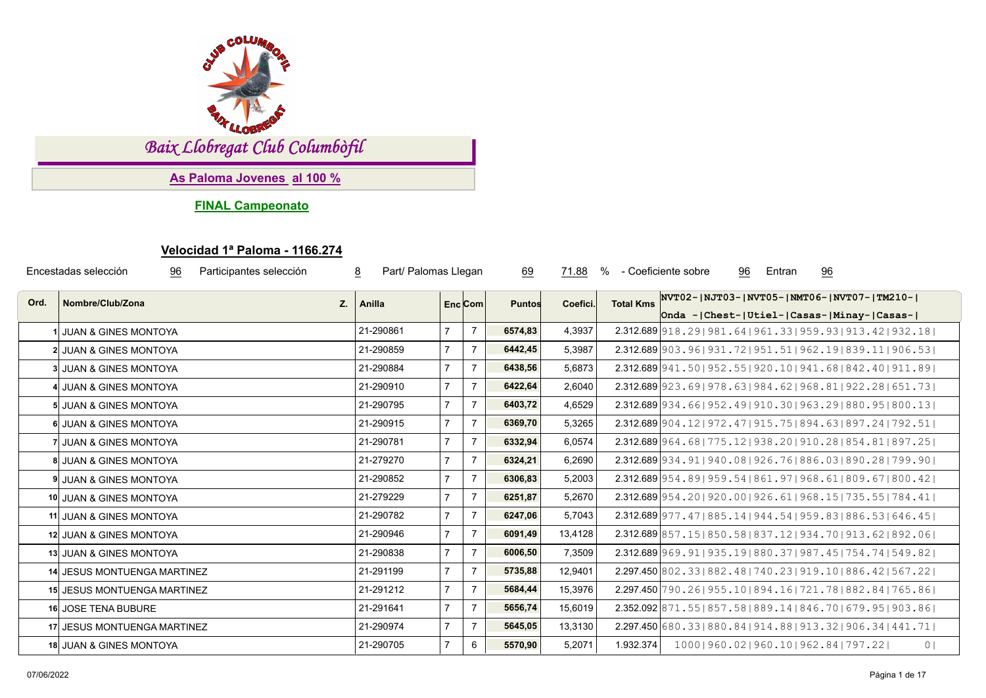

*Baix Llobregat Club Columbòfil*

**As Paloma Jovenes al 100 %**

**FINAL Campeonato**

## **Velocidad 1ª Paloma - 1166.274**

| Encestadas selección<br>Participantes selección<br>$\underline{8}$<br>96 |                             |           | Part/ Palomas Llegan |                | 69            | 71.88<br>% |                  | $\frac{96}{9}$<br>- Coeficiente sobre<br>96<br>Entran                                                |
|--------------------------------------------------------------------------|-----------------------------|-----------|----------------------|----------------|---------------|------------|------------------|------------------------------------------------------------------------------------------------------|
| Ord.                                                                     | Nombre/Club/Zona<br>Z.      | Anilla    |                      | $Enc$ Com      | <b>Puntos</b> | Coefici.   | <b>Total Kms</b> | NVT02-  NJT03-  NVT05-  NMT06-  NVT07-  TM210- <br>Onda - Chest-   Utiel-   Casas-   Minay-   Casas- |
|                                                                          | I JUAN & GINES MONTOYA      | 21-290861 |                      | $\overline{7}$ | 6574,83       | 4,3937     |                  | $2.312.689$  918.29   981.64   961.33   959.93   913.42   932.18                                     |
|                                                                          | 2 JUAN & GINES MONTOYA      | 21-290859 |                      | $\overline{7}$ | 6442,45       | 5,3987     |                  | $2.312.689$   903.96   931.72   951.51   962.19   839.11   906.53                                    |
|                                                                          | 3 JUAN & GINES MONTOYA      | 21-290884 | $\overline{7}$       | $\overline{7}$ | 6438,56       | 5,6873     |                  | $2.312.689$  941.50   952.55   920.10   941.68   842.40   911.89                                     |
|                                                                          | 4 JUAN & GINES MONTOYA      | 21-290910 | $\overline{7}$       | $\overline{7}$ | 6422,64       | 2,6040     |                  | 2.312.689 923.69   978.63   984.62   968.81   922.28   651.73                                        |
|                                                                          | 5 JUAN & GINES MONTOYA      | 21-290795 |                      | $\overline{7}$ | 6403,72       | 4,6529     |                  | 2.312.689 934 . 66   952 . 49   910 . 30   963 . 29   880 . 95   800 . 13                            |
|                                                                          | 6 JUAN & GINES MONTOYA      | 21-290915 |                      | $\overline{7}$ | 6369,70       | 5,3265     |                  | $2.312.689$  904.12   972.47   915.75   894.63   897.24   792.51                                     |
|                                                                          | 7 JUAN & GINES MONTOYA      | 21-290781 | $\overline{7}$       | $\overline{7}$ | 6332,94       | 6,0574     |                  | 2.312.689 964.68   775.12   938.20   910.28   854.81   897.25                                        |
|                                                                          | 8 JUAN & GINES MONTOYA      | 21-279270 |                      | $\overline{7}$ | 6324,21       | 6,2690     |                  | 2.312.689 934.91   940.08   926.76   886.03   890.28   799.90                                        |
|                                                                          | 9 JUAN & GINES MONTOYA      | 21-290852 | $\overline{7}$       | $\overline{7}$ | 6306,83       | 5,2003     |                  | 2.312.689 954.89   959.54   861.97   968.61   809.67   800.42                                        |
|                                                                          | 10 JUAN & GINES MONTOYA     | 21-279229 |                      | $\overline{7}$ | 6251,87       | 5,2670     |                  | $2.312.689$ 954.201920.001926.611968.151735.551784.411                                               |
|                                                                          | 11 JUAN & GINES MONTOYA     | 21-290782 | $\overline{7}$       | $\overline{7}$ | 6247,06       | 5,7043     |                  | 2.312.689 977.47   885.14   944.54   959.83   886.53   646.45                                        |
|                                                                          | 12 JUAN & GINES MONTOYA     | 21-290946 |                      | $\overline{7}$ | 6091,49       | 13,4128    |                  | 2.312.689 857.15 850.58 837.12 934.70 913.62 892.06                                                  |
|                                                                          | 13 JUAN & GINES MONTOYA     | 21-290838 | $\overline{7}$       | $\overline{7}$ | 6006,50       | 7,3509     |                  | 2.312.689 969.91   935.19   880.37   987.45   754.74   549.82                                        |
|                                                                          | 14 JESUS MONTUENGA MARTINEZ | 21-291199 |                      | $\overline{7}$ | 5735,88       | 12,9401    |                  | 2.297.450 802.33   882.48   740.23   919.10   886.42   567.22                                        |
|                                                                          | 15 JESUS MONTUENGA MARTINEZ | 21-291212 |                      | $\overline{7}$ | 5684,44       | 15,3976    |                  | 2.297.450 790.26   955.10   894.16   721.78   882.84   765.86                                        |
|                                                                          | 16 JOSE TENA BUBURE         | 21-291641 |                      | $\overline{7}$ | 5656,74       | 15,6019    |                  | 2.352.092 871.55   857.58   889.14   846.70   679.95   903.86                                        |
|                                                                          | 17 JESUS MONTUENGA MARTINEZ | 21-290974 |                      | $\overline{7}$ | 5645,05       | 13,3130    |                  | 2.297.450 680.33   880.84   914.88   913.32   906.34   441.71                                        |
|                                                                          | 18 JUAN & GINES MONTOYA     | 21-290705 |                      | 6              | 5570,90       | 5,2071     | 1.932.374        | 1000   960.02   960.10   962.84   797.22  <br>0 <sub>1</sub>                                         |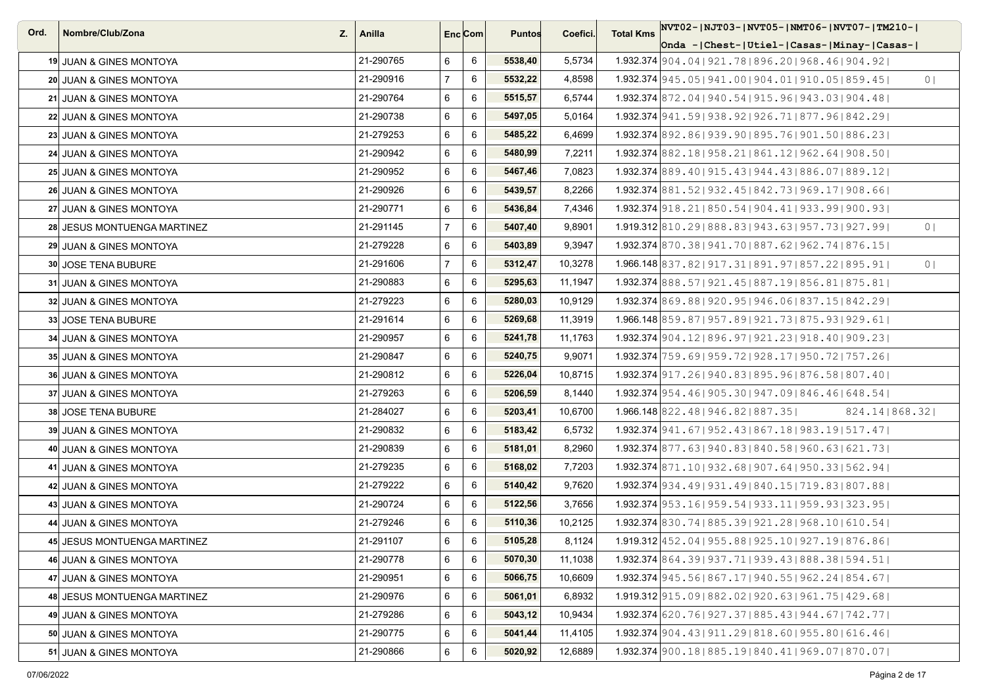| Ord. | Nombre/Club/Zona<br>Z.             | Anilla    | Enc <sub>i</sub> Com |   | <b>Puntos</b> | Coefici. | NVT02- NJT03- NVT05- NMT06- NVT07- TM210- <br><b>Total Kms</b>           |
|------|------------------------------------|-----------|----------------------|---|---------------|----------|--------------------------------------------------------------------------|
|      |                                    |           |                      |   |               |          | Onda - Chest-   Utiel-   Casas-   Minay-   Casas-                        |
|      | 19 JUAN & GINES MONTOYA            | 21-290765 | 6                    | 6 | 5538,40       | 5,5734   | 1.932.374 904.04   921.78   896.20   968.46   904.92                     |
|      | 20 JUAN & GINES MONTOYA            | 21-290916 | $\overline{7}$       | 6 | 5532,22       | 4,8598   | 1.932.374 945.05   941.00   904.01   910.05   859.45  <br>0 <sup>1</sup> |
|      | 21 JUAN & GINES MONTOYA            | 21-290764 | 6                    | 6 | 5515,57       | 6,5744   | 1.932.374 872, 04   940, 54   915, 96   943, 03   904, 48                |
|      | 22 JUAN & GINES MONTOYA            | 21-290738 | 6                    | 6 | 5497,05       | 5,0164   | 1.932.374 941.59   938.92   926.71   877.96   842.29                     |
|      | 23 JUAN & GINES MONTOYA            | 21-279253 | 6                    | 6 | 5485,22       | 6,4699   | 1.932.374 892,86   939,90   895,76   901,50   886,23                     |
|      | 24 JUAN & GINES MONTOYA            | 21-290942 | 6                    | 6 | 5480,99       | 7,2211   | 1.932.374 882.18   958.21   861.12   962.64   908.50                     |
|      | 25 JUAN & GINES MONTOYA            | 21-290952 | 6                    | 6 | 5467,46       | 7,0823   | 1.932.374 889, 40   915, 43   944, 43   886, 07   889, 12                |
|      | 26 JUAN & GINES MONTOYA            | 21-290926 | 6                    | 6 | 5439,57       | 8,2266   | 1.932.374 881.52   932.45   842.73   969.17   908.66                     |
|      | 27 JUAN & GINES MONTOYA            | 21-290771 | 6                    | 6 | 5436,84       | 7,4346   | 1.932.374 918, 21   850, 54   904, 41   933, 99   900, 93                |
|      | 28 JESUS MONTUENGA MARTINEZ        | 21-291145 | $\overline{7}$       | 6 | 5407,40       | 9,8901   | 1.919.312 810, 29 888, 83 943, 63 957, 73 927, 99<br>0 <sup>1</sup>      |
|      | 29 JUAN & GINES MONTOYA            | 21-279228 | 6                    | 6 | 5403,89       | 9,3947   | 1.932.374 870.38   941.70   887.62   962.74   876.15                     |
|      | 30 JOSE TENA BUBURE                | 21-291606 | $\overline{7}$       | 6 | 5312,47       | 10,3278  | 1.966.148 837.82   917.31   891.97   857.22   895.91  <br>0 <sup>1</sup> |
|      | 31 JUAN & GINES MONTOYA            | 21-290883 | 6                    | 6 | 5295,63       | 11,1947  | 1.932.374 888.57   921.45   887.19   856.81   875.81                     |
|      | 32 JUAN & GINES MONTOYA            | 21-279223 | 6                    | 6 | 5280,03       | 10,9129  | 1.932.374 869.88   920.95   946.06   837.15   842.29                     |
|      | 33 JOSE TENA BUBURE                | 21-291614 | 6                    | 6 | 5269,68       | 11,3919  | 1.966.148 859.87   957.89   921.73   875.93   929.61                     |
|      | 34 JUAN & GINES MONTOYA            | 21-290957 | 6                    | 6 | 5241,78       | 11,1763  | 1.932.374 904, 12   896, 97   921, 23   918, 40   909, 23                |
|      | 35 JUAN & GINES MONTOYA            | 21-290847 | 6                    | 6 | 5240,75       | 9,9071   | 1.932.374 759.69 959.72 928.17   950.72   757.26                         |
|      | <b>36 JUAN &amp; GINES MONTOYA</b> | 21-290812 | 6                    | 6 | 5226,04       | 10,8715  | 1.932.374 917, 26 940, 83 895, 96 876, 58 807, 40                        |
|      | 37 JUAN & GINES MONTOYA            | 21-279263 | 6                    | 6 | 5206,59       | 8,1440   | 1.932.374 954.46   905.30   947.09   846.46   648.54                     |
|      | 38 JOSE TENA BUBURE                | 21-284027 | 6                    | 6 | 5203,41       | 10,6700  | $1.966.148$ 822.48   946.82   887.35  <br>824.14   868.32                |
|      | 39 JUAN & GINES MONTOYA            | 21-290832 | 6                    | 6 | 5183,42       | 6,5732   | 1.932.374 941.67   952.43   867.18   983.19   517.47                     |
|      | 40 JUAN & GINES MONTOYA            | 21-290839 | 6                    | 6 | 5181,01       | 8,2960   | 1.932.374 877.63 940.83 840.58 960.63 621.73                             |
|      | 41 JUAN & GINES MONTOYA            | 21-279235 | 6                    | 6 | 5168,02       | 7,7203   | $1.932.374$ 871.10   932.68   907.64   950.33   562.94                   |
|      | 42 JUAN & GINES MONTOYA            | 21-279222 | 6                    | 6 | 5140,42       | 9,7620   | 1.932.374 934.49   931.49   840.15   719.83   807.88                     |
|      | 43 JUAN & GINES MONTOYA            | 21-290724 | 6                    | 6 | 5122,56       | 3,7656   | 1.932.374 953.16 959.54 933.11 959.93 323.95                             |
|      | 44 JUAN & GINES MONTOYA            | 21-279246 | 6                    | 6 | 5110,36       | 10,2125  | 1.932.374 830.74 885.39 921.28 968.10 610.54                             |
|      | 45 JESUS MONTUENGA MARTINEZ        | 21-291107 | 6                    | 6 | 5105,28       | 8,1124   | 1.919.312 452.04   955.88   925.10   927.19   876.86                     |
|      | 46 JUAN & GINES MONTOYA            | 21-290778 | 6                    | 6 | 5070,30       | 11,1038  | 1.932.374 864.39   937.71   939.43   888.38   594.51                     |
|      | 47 JUAN & GINES MONTOYA            | 21-290951 | 6                    | 6 | 5066,75       | 10,6609  | $1.932.374$   945.56   867.17   940.55   962.24   854.67                 |
|      | 48 JESUS MONTUENGA MARTINEZ        | 21-290976 | 6                    | 6 | 5061,01       | 6,8932   | 1.919.312 915.09 882.02 920.63 961.75   429.68                           |
|      | 49 JUAN & GINES MONTOYA            | 21-279286 | 6                    | 6 | 5043,12       | 10,9434  | 1.932.374 620.76   927.37   885.43   944.67   742.77                     |
|      | 50 JUAN & GINES MONTOYA            | 21-290775 | 6                    | 6 | 5041,44       | 11,4105  | $1.932.374$  904.43   911.29   818.60   955.80   616.46                  |
|      | 51 JUAN & GINES MONTOYA            | 21-290866 | 6                    | 6 | 5020,92       | 12,6889  | 1.932.374 900.18   885.19   840.41   969.07   870.07                     |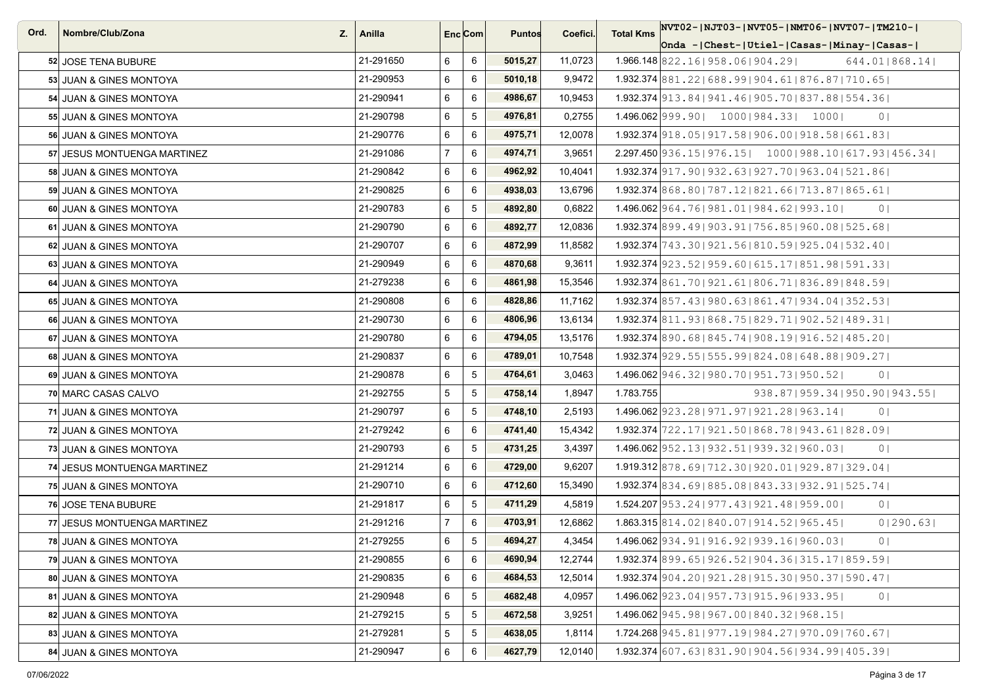| Ord. | Nombre/Club/Zona<br>Z.      | Anilla    | Enc <sub>i</sub> Com |                 | <b>Puntos</b> | Coefici. | NVT02- NJT03- NVT05- NMT06- NVT07- TM210- <br><b>Total Kms</b>               |
|------|-----------------------------|-----------|----------------------|-----------------|---------------|----------|------------------------------------------------------------------------------|
|      |                             |           |                      |                 |               |          | Onda - Chest- Utiel- Casas- Minay- Casas-                                    |
|      | 52 JOSE TENA BUBURE         | 21-291650 | 6                    | 6               | 5015,27       | 11,0723  | 1.966.148 822.16   958.06   904.29  <br>644.01   868.14                      |
|      | 53 JUAN & GINES MONTOYA     | 21-290953 | 6                    | 6               | 5010,18       | 9,9472   | 1.932.374 881, 22   688, 99   904, 61   876, 87   710, 65                    |
|      | 54 JUAN & GINES MONTOYA     | 21-290941 | 6                    | 6               | 4986,67       | 10,9453  | 1.932.374 913.84 941.46 905.70 837.88 554.36                                 |
|      | 55 JUAN & GINES MONTOYA     | 21-290798 | 6                    | 5               | 4976,81       | 0,2755   | 1.496.062 999.90   1000   984.33   1000  <br>0 <sup>1</sup>                  |
|      | 56 JUAN & GINES MONTOYA     | 21-290776 | 6                    | 6               | 4975,71       | 12,0078  | 1.932.374 918, 05   917, 58   906, 00   918, 58   661, 83                    |
|      | 57 JESUS MONTUENGA MARTINEZ | 21-291086 | $\overline{7}$       | 6               | 4974,71       | 3,9651   | $2.297.450 936.15 976.15 $ $1000 988.10 617.93 456.34 $                      |
|      | 58 JUAN & GINES MONTOYA     | 21-290842 | 6                    | 6               | 4962,92       | 10,4041  | 1.932.374 917.90   932.63   927.70   963.04   521.86                         |
|      | 59 JUAN & GINES MONTOYA     | 21-290825 | 6                    | 6               | 4938,03       | 13,6796  | 1.932.374 868,80   787,12   821,66   713,87   865,61                         |
|      | 60 JUAN & GINES MONTOYA     | 21-290783 | 6                    | 5               | 4892,80       | 0,6822   | 1.496.062 964, 76   981, 01   984, 62   993, 10  <br>0 <sub>1</sub>          |
|      | 61 JUAN & GINES MONTOYA     | 21-290790 | 6                    | 6               | 4892,77       | 12,0836  | 1.932.374 899.49 903.91 756.85 960.08 525.68                                 |
|      | 62 JUAN & GINES MONTOYA     | 21-290707 | 6                    | 6               | 4872,99       | 11,8582  | 1.932.374 743.30   921.56   810.59   925.04   532.40                         |
|      | 63 JUAN & GINES MONTOYA     | 21-290949 | 6                    | 6               | 4870,68       | 9,3611   | 1.932.374 923.52   959.60   615.17   851.98   591.33                         |
|      | 64 JUAN & GINES MONTOYA     | 21-279238 | 6                    | 6               | 4861,98       | 15,3546  | 1.932.374 861.70   921.61   806.71   836.89   848.59                         |
|      | 65 JUAN & GINES MONTOYA     | 21-290808 | 6                    | 6               | 4828,86       | 11,7162  | 1.932.374 857.43   980.63   861.47   934.04   352.53                         |
|      | 66 JUAN & GINES MONTOYA     | 21-290730 | 6                    | 6               | 4806,96       | 13,6134  | 1.932.374 811, 93 868, 75 829, 71 902, 52 489, 31                            |
|      | 67 JUAN & GINES MONTOYA     | 21-290780 | 6                    | 6               | 4794,05       | 13,5176  | $1.932.374$ 890.68 845.74   908.19   916.52   485.20                         |
|      | 68 JUAN & GINES MONTOYA     | 21-290837 | 6                    | 6               | 4789,01       | 10,7548  | 1.932.374 929.55   555.99   824.08   648.88   909.27                         |
|      | 69 JUAN & GINES MONTOYA     | 21-290878 | 6                    | $5\phantom{.0}$ | 4764,61       | 3,0463   | $1.496.062$  946.32   980.70   951.73   950.52  <br>0 <sub>1</sub>           |
|      | 70 MARC CASAS CALVO         | 21-292755 | 5                    | $\sqrt{5}$      | 4758,14       | 1,8947   | 1.783.755<br>938.87   959.34   950.90   943.55                               |
|      | 71 JUAN & GINES MONTOYA     | 21-290797 | 6                    | 5               | 4748,10       | 2,5193   | $1.496.062$   923.28   971.97   921.28   963.14  <br>0 <sup>1</sup>          |
|      | 72 JUAN & GINES MONTOYA     | 21-279242 | 6                    | 6               | 4741,40       | 15,4342  | 1.932.374 722.17   921.50   868.78   943.61   828.09                         |
|      | 73 JUAN & GINES MONTOYA     | 21-290793 | 6                    | $\sqrt{5}$      | 4731,25       | 3,4397   | 1.496.062 952.13   932.51   939.32   960.03  <br>0 <sup>1</sup>              |
|      | 74 JESUS MONTUENGA MARTINEZ | 21-291214 | 6                    | 6               | 4729,00       | 9,6207   | 1.919.312 878.69   712.30   920.01   929.87   329.04                         |
|      | 75 JUAN & GINES MONTOYA     | 21-290710 | 6                    | 6               | 4712,60       | 15,3490  | 1.932.374 834.69 885.08 843.33 932.91 525.74                                 |
|      | 76 JOSE TENA BUBURE         | 21-291817 | 6                    | $\sqrt{5}$      | 4711,29       | 4,5819   | $1.524.207$   953.24   977.43   921.48   959.00  <br>0 <sub>1</sub>          |
|      | 77 JESUS MONTUENGA MARTINEZ | 21-291216 | $\overline{7}$       | 6               | 4703,91       | 12,6862  | $1.863.315 \mid 814.02 \mid 840.07 \mid 914.52 \mid 965.45 \mid$<br>0 290.63 |
|      | 78 JUAN & GINES MONTOYA     | 21-279255 | 6                    | 5               | 4694,27       | 4.3454   | 1.496.062 934.91   916.92   939.16   960.03  <br>0 <sup>1</sup>              |
|      | 79 JUAN & GINES MONTOYA     | 21-290855 | 6                    | $\,6\,$         | 4690,94       | 12,2744  | 1.932.374 899.65   926.52   904.36   315.17   859.59                         |
|      | 80 JUAN & GINES MONTOYA     | 21-290835 | 6                    | 6               | 4684,53       | 12,5014  | 1.932.374 904.20   921.28   915.30   950.37   590.47                         |
|      | 81 JUAN & GINES MONTOYA     | 21-290948 | 6                    | $\,$ 5 $\,$     | 4682,48       | 4,0957   | 1.496.062 923.04   957.73   915.96   933.95  <br>0 <sub>1</sub>              |
|      | 82 JUAN & GINES MONTOYA     | 21-279215 | 5                    | $5\phantom{.0}$ | 4672,58       | 3,9251   | 1.496.062 945.98 967.00 840.32 968.15                                        |
|      | 83 JUAN & GINES MONTOYA     | 21-279281 | 5                    | 5               | 4638,05       | 1,8114   | 1.724.268 945, 81   977, 19   984, 27   970, 09   760, 67                    |
|      | 84 JUAN & GINES MONTOYA     | 21-290947 | 6                    | 6               | 4627,79       | 12,0140  | 1.932.374 607.63   831.90   904.56   934.99   405.39                         |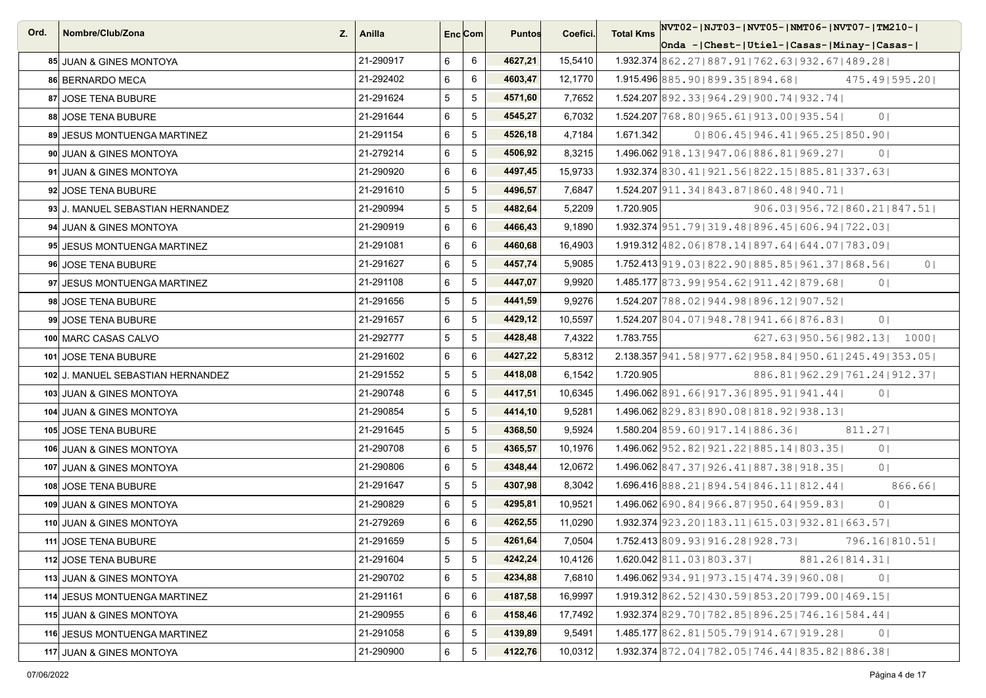| Ord. | Nombre/Club/Zona<br>Z.            | Anilla    |   | Enc Com        | <b>Puntos</b> | Coefici. | <b>Total Kms</b> | NVT02- NJT03- NVT05- NMT06- NVT07- TM210-                                |
|------|-----------------------------------|-----------|---|----------------|---------------|----------|------------------|--------------------------------------------------------------------------|
|      |                                   |           |   |                |               |          |                  | Onda - Chest- Utiel- Casas- Minay- Casas-                                |
|      | 85 JUAN & GINES MONTOYA           | 21-290917 | 6 | 6              | 4627,21       | 15,5410  |                  | 1.932.374 862.27   887.91   762.63   932.67   489.28                     |
|      | 86 BERNARDO MECA                  | 21-292402 | 6 | 6              | 4603,47       | 12,1770  |                  | 1.915.496 885, 901899, 351894, 681<br>475.49   595.20                    |
|      | 87 JOSE TENA BUBURE               | 21-291624 | 5 | 5              | 4571,60       | 7,7652   |                  | 1.524.207 892.33   964.29   900.74   932.74                              |
|      | 88 JOSE TENA BUBURE               | 21-291644 | 6 | 5              | 4545,27       | 6,7032   |                  | $1.524.207$  768.80   965.61   913.00   935.54  <br>0 <sup>1</sup>       |
|      | 89 JESUS MONTUENGA MARTINEZ       | 21-291154 | 6 | 5              | 4526,18       | 4,7184   | 1.671.342        | 01806.451946.411965.251850.901                                           |
|      | 90 JUAN & GINES MONTOYA           | 21-279214 | 6 | 5              | 4506,92       | 8,3215   |                  | 1.496.062 918.13   947.06   886.81   969.27  <br>0 <sup>1</sup>          |
|      | 91 JUAN & GINES MONTOYA           | 21-290920 | 6 | 6              | 4497,45       | 15,9733  |                  | $1.932.374$ 830.41   921.56   822.15   885.81   337.63                   |
|      | 92 JOSE TENA BUBURE               | 21-291610 | 5 | 5              | 4496,57       | 7,6847   |                  | 1.524.207 911, 34   843, 87   860, 48   940, 71                          |
|      | 93 J. MANUEL SEBASTIAN HERNANDEZ  | 21-290994 | 5 | 5              | 4482,64       | 5,2209   | 1.720.905        | 906.03 956.72 860.21 847.51                                              |
|      | 94 JUAN & GINES MONTOYA           | 21-290919 | 6 | 6              | 4466,43       | 9,1890   |                  | 1.932.374 951, 79 319, 48 896, 45 606, 94 722, 03                        |
|      | 95 JESUS MONTUENGA MARTINEZ       | 21-291081 | 6 | 6              | 4460,68       | 16,4903  |                  | 1.919.312 482.06   878.14   897.64   644.07   783.09                     |
|      | 96 JOSE TENA BUBURE               | 21-291627 | 6 | 5              | 4457,74       | 5,9085   |                  | 1.752.413 919.03   822.90   885.85   961.37   868.56  <br>0 <sup>1</sup> |
|      | 97 JESUS MONTUENGA MARTINEZ       | 21-291108 | 6 | 5              | 4447,07       | 9,9920   |                  | 1.485.177 873.99   954.62   911.42   879.68  <br>0 <sup>1</sup>          |
|      | 98 JOSE TENA BUBURE               | 21-291656 | 5 | 5              | 4441,59       | 9,9276   |                  | 1.524.207 788.02   944.98   896.12   907.52                              |
|      | 99 JOSE TENA BUBURE               | 21-291657 | 6 | 5              | 4429,12       | 10,5597  |                  | 1.524.207 804.07 948.78 941.66 876.83<br>0 <sup>1</sup>                  |
|      | 100 MARC CASAS CALVO              | 21-292777 | 5 | 5              | 4428,48       | 7,4322   | 1.783.755        | 627.631950.561982.131 10001                                              |
|      | 101 JOSE TENA BUBURE              | 21-291602 | 6 | 6              | 4427,22       | 5,8312   |                  | 2.138.357 941.58   977.62   958.84   950.61   245.49   353.05            |
|      | 102 J. MANUEL SEBASTIAN HERNANDEZ | 21-291552 | 5 | 5              | 4418,08       | 6,1542   | 1.720.905        | 886.81 962.29 761.24 912.37                                              |
|      | 103 JUAN & GINES MONTOYA          | 21-290748 | 6 | 5              | 4417,51       | 10,6345  |                  | $1.496.062$ 891.66   917.36   895.91   941.44  <br>0 <sup>1</sup>        |
|      | 104 JUAN & GINES MONTOYA          | 21-290854 | 5 | 5              | 4414,10       | 9,5281   |                  | 1.496.062 829.83 890.08 818.92 938.13                                    |
|      | <b>105 JOSE TENA BUBURE</b>       | 21-291645 | 5 | 5              | 4368,50       | 9,5924   |                  | 1.580.204 859.60   917.14   886.36  <br>811.27                           |
|      | 106 JUAN & GINES MONTOYA          | 21-290708 | 6 | 5              | 4365,57       | 10,1976  |                  | 1.496.062 952.82   921.22   885.14   803.35  <br>0 <sup>1</sup>          |
|      | 107 JUAN & GINES MONTOYA          | 21-290806 | 6 | 5              | 4348,44       | 12,0672  |                  | 1.496.062 847.37   926.41   887.38   918.35  <br>0 <sub>1</sub>          |
|      | 108 JOSE TENA BUBURE              | 21-291647 | 5 | 5              | 4307,98       | 8,3042   |                  | 1.696.416 888.21   894.54   846.11   812.44  <br>866.661                 |
|      | 109 JUAN & GINES MONTOYA          | 21-290829 | 6 | $\sqrt{5}$     | 4295,81       | 10,9521  |                  | 1.496.062 690 . 84   966 . 87   950 . 64   959 . 83  <br>0 <sup>1</sup>  |
|      | 110 JUAN & GINES MONTOYA          | 21-279269 | 6 | 6              | 4262,55       | 11,0290  |                  | 1.932.374 923, 20   183, 11   615, 03   932, 81   663, 57                |
|      | 111 JOSE TENA BUBURE              | 21-291659 | 5 | 5              | 4261,64       | 7,0504   |                  | $1.752.413$ 809.93   916.28   928.73  <br>796.16 810.51                  |
|      | 112 JOSE TENA BUBURE              | 21-291604 | 5 | $\overline{5}$ | 4242,24       | 10,4126  |                  | $1.620.042$ $ 811.03 803.37 $<br>881.26   814.31                         |
|      | 113 JUAN & GINES MONTOYA          | 21-290702 | 6 | $\sqrt{5}$     | 4234,88       | 7,6810   |                  | 1.496.062 934.91   973.15   474.39   960.08  <br>0 <sup>1</sup>          |
|      | 114 JESUS MONTUENGA MARTINEZ      | 21-291161 | 6 | 6              | 4187,58       | 16,9997  |                  | $1.919.312$  862.52   430.59   853.20   799.00   469.15                  |
|      | 115 JUAN & GINES MONTOYA          | 21-290955 | 6 | 6              | 4158,46       | 17,7492  |                  | $1.932.374$ 829.70   782.85   896.25   746.16   584.44                   |
|      | 116 JESUS MONTUENGA MARTINEZ      | 21-291058 | 6 | 5              | 4139,89       | 9,5491   |                  | 1.485.177 862.81   505.79   914.67   919.28  <br>0 <sup>1</sup>          |
|      | 117 JUAN & GINES MONTOYA          | 21-290900 | 6 | 5              | 4122,76       | 10,0312  |                  | 1.932.374 872.04   782.05   746.44   835.82   886.38                     |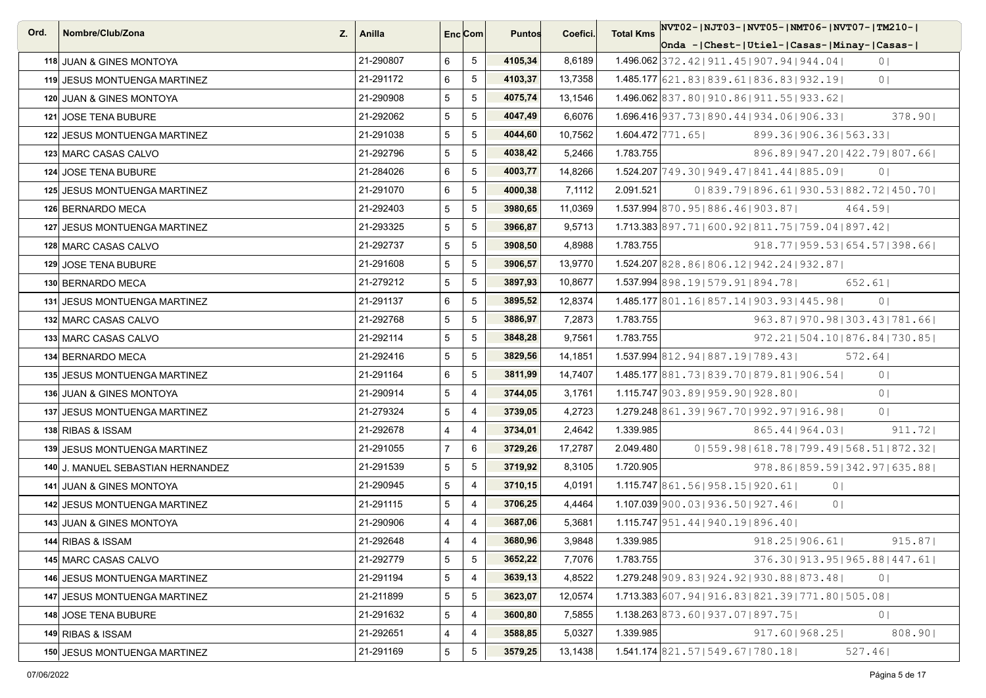| Ord. | Nombre/Club/Zona<br>Z.              | Anilla    |                 | Enc <sub>i</sub> Com | <b>Puntos</b> | Coefici. | <b>Total Kms</b> | NVT02- NJT03- NVT05- NMT06- NVT07- TM210-                           |
|------|-------------------------------------|-----------|-----------------|----------------------|---------------|----------|------------------|---------------------------------------------------------------------|
|      |                                     |           |                 |                      |               |          |                  | Onda - Chest-   Utiel-   Casas-   Minay-   Casas-                   |
|      | 118 JUAN & GINES MONTOYA            | 21-290807 | 6               | $5\phantom{.0}$      | 4105,34       | 8,6189   |                  | $1.496.062$ 372.42   911.45   907.94   944.04  <br>0 <sub>1</sub>   |
|      | 119 JESUS MONTUENGA MARTINEZ        | 21-291172 | 6               | 5                    | 4103,37       | 13,7358  |                  | 1.485.177 621, 83   839, 61   836, 83   932, 19  <br>0 <sub>1</sub> |
|      | 120 JUAN & GINES MONTOYA            | 21-290908 | 5               | 5                    | 4075,74       | 13,1546  |                  | 1.496.062 837.80   910.86   911.55   933.62                         |
|      | 121 JOSE TENA BUBURE                | 21-292062 | 5               | 5                    | 4047,49       | 6,6076   |                  | 1.696.416 937.73   890.44   934.06   906.33  <br>378.90             |
|      | 122 JESUS MONTUENGA MARTINEZ        | 21-291038 | 5               | 5                    | 4044,60       | 10,7562  |                  | $1.604.472$ $ 771.65 $<br>899.361906.361563.331                     |
|      | 123 MARC CASAS CALVO                | 21-292796 | 5               | 5                    | 4038,42       | 5,2466   | 1.783.755        | 896.89   947.20   422.79   807.66                                   |
|      | 124 JOSE TENA BUBURE                | 21-284026 | 6               | 5                    | 4003,77       | 14,8266  |                  | $1.524.207$ 749.30   949.47   841.44   885.09  <br>0 <sup>1</sup>   |
|      | <b>125 JESUS MONTUENGA MARTINEZ</b> | 21-291070 | 6               | 5                    | 4000,38       | 7,1112   | 2.091.521        | 0   839, 79   896, 61   930, 53   882, 72   450, 70                 |
|      | 126 BERNARDO MECA                   | 21-292403 | 5               | 5                    | 3980,65       | 11,0369  |                  | 1.537.994 870.95 886.46 903.87<br>464.591                           |
|      | 127 JESUS MONTUENGA MARTINEZ        | 21-293325 | 5               | 5                    | 3966,87       | 9,5713   |                  | 1.713.383 897.71   600.92   811.75   759.04   897.42                |
|      | 128 MARC CASAS CALVO                | 21-292737 | 5               | $5\phantom{.0}$      | 3908,50       | 4,8988   | 1.783.755        | $918.77$  959.53 654.57 398.66                                      |
|      | 129 JOSE TENA BUBURE                | 21-291608 | 5               | 5                    | 3906,57       | 13,9770  |                  | $1.524.207$ 828.861806.121942.241932.871                            |
|      | 130 BERNARDO MECA                   | 21-279212 | $5\phantom{.0}$ | 5                    | 3897,93       | 10,8677  |                  | $1.537.994$ 898.19   579.91   894.78  <br>652.61                    |
|      | 131 JESUS MONTUENGA MARTINEZ        | 21-291137 | 6               | 5                    | 3895,52       | 12,8374  |                  | 1.485.177 801.16   857.14   903.93   445.98  <br>0 <sub>1</sub>     |
|      | 132 MARC CASAS CALVO                | 21-292768 | 5 <sup>5</sup>  | 5                    | 3886,97       | 7,2873   | 1.783.755        | 963.87   970.98   303.43   781.66                                   |
|      | 133 MARC CASAS CALVO                | 21-292114 | 5               | 5                    | 3848,28       | 9,7561   | 1.783.755        | 972.211504.101876.841730.851                                        |
|      | 134 BERNARDO MECA                   | 21-292416 | 5               | 5                    | 3829,56       | 14,1851  |                  | 1.537.994 812, 94 887, 19 789, 43<br>572.64                         |
|      | 135 JESUS MONTUENGA MARTINEZ        | 21-291164 | 6               | 5                    | 3811,99       | 14,7407  |                  | 1.485.177 881, 73 839, 70 879, 81 906, 54<br>0 <sub>1</sub>         |
|      | 136 JUAN & GINES MONTOYA            | 21-290914 | 5               | 4                    | 3744,05       | 3,1761   |                  | 1.115.747 903.89   959.90   928.80  <br>0 <sub>1</sub>              |
|      | 137 JESUS MONTUENGA MARTINEZ        | 21-279324 | 5               | 4                    | 3739,05       | 4,2723   |                  | $1.279.248[861.39[967.70]992.97]916.98]$<br>0 <sub>1</sub>          |
|      | 138 RIBAS & ISSAM                   | 21-292678 | 4               | $\overline{4}$       | 3734,01       | 2,4642   | 1.339.985        | 865.44   964.03  <br>911.72                                         |
|      | 139 JESUS MONTUENGA MARTINEZ        | 21-291055 | $\overline{7}$  | 6                    | 3729,26       | 17,2787  | 2.049.480        | 0   559.98   618.78   799.49   568.51   872.32                      |
|      | 140 J. MANUEL SEBASTIAN HERNANDEZ   | 21-291539 | 5               | 5                    | 3719,92       | 8,3105   | 1.720.905        | 978.86   859.59   342.97   635.88                                   |
|      | 141 JUAN & GINES MONTOYA            | 21-290945 | 5               | 4                    | 3710,15       | 4,0191   |                  | 1.115.747 861.56 958.15 920.61  <br>0 <sup>1</sup>                  |
|      | <b>142 JESUS MONTUENGA MARTINEZ</b> | 21-291115 | 5               | $\overline{4}$       | 3706,25       | 4,4464   |                  | $1.107.039$  900.03   936.50   927.46  <br>0 <sup>1</sup>           |
|      | 143 JUAN & GINES MONTOYA            | 21-290906 | 4               | 4                    | 3687,06       | 5,3681   |                  | 1.115.747 951.44   940.19   896.40                                  |
|      | 144 RIBAS & ISSAM                   | 21-292648 | $\overline{4}$  | $\overline{4}$       | 3680,96       | 3,9848   | 1.339.985        | $918.25$  906.61 <br>915.87                                         |
|      | 145 MARC CASAS CALVO                | 21-292779 | 5               | 5                    | 3652,22       | 7,7076   | 1.783.755        | 376.30   913.95   965.88   447.61                                   |
|      | 146 JESUS MONTUENGA MARTINEZ        | 21-291194 | 5               | $\overline{4}$       | 3639,13       | 4,8522   |                  | $1.279.248$  909.83 924.92 930.88 873.48 <br>0 <sub>1</sub>         |
|      | 147 JESUS MONTUENGA MARTINEZ        | 21-211899 | 5               | $5\phantom{.0}$      | 3623,07       | 12,0574  |                  | 1.713.383 607.94   916.83   821.39   771.80   505.08                |
|      | <b>148 JOSE TENA BUBURE</b>         | 21-291632 | $5\phantom{.0}$ | 4                    | 3600,80       | 7,5855   |                  | 1.138.263 873.60   937.07   897.75  <br>0 <sup>1</sup>              |
|      | 149 RIBAS & ISSAM                   | 21-292651 | 4               | 4                    | 3588,85       | 5,0327   | 1.339.985        | 808.901<br>917.601968.251                                           |
|      | 150 JESUS MONTUENGA MARTINEZ        | 21-291169 | 5               | 5                    | 3579,25       | 13,1438  |                  | $1.541.174$ 821.57   549.67   780.18  <br>527.46                    |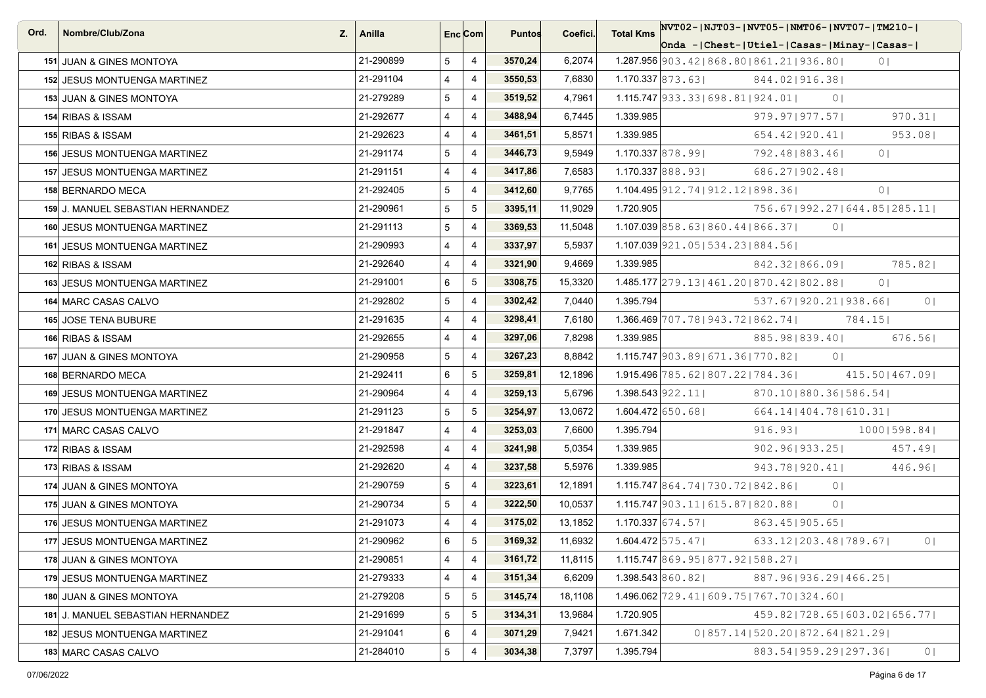| Ord. | Nombre/Club/Zona<br>Z.              | Anilla    |                 | Enc <sub>i</sub> Com | <b>Puntos</b> | Coefici. | <b>Total Kms</b> | NVT02- NJT03- NVT05- NMT06- NVT07- TM210-                               |
|------|-------------------------------------|-----------|-----------------|----------------------|---------------|----------|------------------|-------------------------------------------------------------------------|
|      |                                     |           |                 |                      |               |          |                  | Onda - Chest-   Utiel-   Casas-   Minay-   Casas-                       |
|      | 151 JUAN & GINES MONTOYA            | 21-290899 | 5               | $\overline{4}$       | 3570,24       | 6,2074   |                  | $1.287.956$   903.42   868.80   861.21   936.80  <br>0 <sub>1</sub>     |
|      | <b>152 JESUS MONTUENGA MARTINEZ</b> | 21-291104 | 4               | $\overline{4}$       | 3550,53       | 7,6830   |                  | 1.170.337 873.63<br>844.021916.381                                      |
|      | 153 JUAN & GINES MONTOYA            | 21-279289 | 5               | 4                    | 3519,52       | 4,7961   |                  | $1.115.747$ 933.33   698.81   924.01  <br>0 <sup>1</sup>                |
|      | 154 RIBAS & ISSAM                   | 21-292677 | $\overline{4}$  | $\overline{4}$       | 3488,94       | 6,7445   | 1.339.985        | 970.31<br>$979.97$  977.57                                              |
|      | 155 RIBAS & ISSAM                   | 21-292623 | $\overline{4}$  | 4                    | 3461,51       | 5,8571   | 1.339.985        | 654.42   920.41  <br>953.08                                             |
|      | 156 JESUS MONTUENGA MARTINEZ        | 21-291174 | 5               | $\overline{4}$       | 3446,73       | 9,5949   |                  | $1.170.337$ 878.99<br>792.481883.461<br>0 <sub>1</sub>                  |
|      | 157 JESUS MONTUENGA MARTINEZ        | 21-291151 | $\overline{4}$  | $\overline{4}$       | 3417,86       | 7,6583   |                  | $1.170.337$ 888.93<br>686.271902.481                                    |
|      | 158 BERNARDO MECA                   | 21-292405 | 5               | $\overline{4}$       | 3412,60       | 9,7765   |                  | 1.104.495 912, 74   912, 12   898, 36  <br>0 <sub>1</sub>               |
|      | 159 J. MANUEL SEBASTIAN HERNANDEZ   | 21-290961 | 5               | 5                    | 3395,11       | 11,9029  | 1.720.905        | 756.67   992.27   644.85   285.11                                       |
|      | 160 JESUS MONTUENGA MARTINEZ        | 21-291113 | 5               | 4                    | 3369,53       | 11,5048  |                  | $1.107.039$ 858.63 860.44 866.37<br>0 <sub>1</sub>                      |
|      | <b>161 JESUS MONTUENGA MARTINEZ</b> | 21-290993 | $\overline{4}$  | $\overline{4}$       | 3337,97       | 5,5937   |                  | $1.107.039$ 921.05   534.23   884.56                                    |
|      | 162 RIBAS & ISSAM                   | 21-292640 | $\overline{4}$  | $\overline{4}$       | 3321,90       | 9,4669   | 1.339.985        | 785.82<br>842.321866.091                                                |
|      | <b>163 JESUS MONTUENGA MARTINEZ</b> | 21-291001 | 6               | 5                    | 3308,75       | 15,3320  |                  | 1.485.177 279.13   461.20   870.42   802.88  <br>0 <sup>1</sup>         |
|      | 164 MARC CASAS CALVO                | 21-292802 | $5\overline{)}$ | $\overline{4}$       | 3302,42       | 7,0440   | 1.395.794        | 537.671920.211938.661<br>0 <sub>1</sub>                                 |
|      | 165 JOSE TENA BUBURE                | 21-291635 | $\overline{4}$  | $\overline{4}$       | 3298,41       | 7,6180   |                  | $1.366.469$ 707.78   943.72   862.74  <br>784.151                       |
|      | 166 RIBAS & ISSAM                   | 21-292655 | $\overline{4}$  | $\overline{4}$       | 3297,06       | 7,8298   | 1.339.985        | 885.98   839.40  <br>676.561                                            |
|      | 167 JUAN & GINES MONTOYA            | 21-290958 | 5               | 4                    | 3267,23       | 8,8842   |                  | $1.115.747$   903.89   671.36   770.82  <br>0 <sup>1</sup>              |
|      | 168 BERNARDO MECA                   | 21-292411 | 6               | 5                    | 3259,81       | 12,1896  |                  | $1.915.496$ 785.62   807.22   784.36  <br>415.50   467.09               |
|      | <b>169 JESUS MONTUENGA MARTINEZ</b> | 21-290964 | $\overline{4}$  | 4                    | 3259,13       | 5,6796   |                  | $1.398.543$   922.11  <br>870.10   880.36   586.54                      |
|      | 170 JESUS MONTUENGA MARTINEZ        | 21-291123 | 5               | 5                    | 3254,97       | 13,0672  |                  | $1.604.472$ 650.68<br>664.14   404.78   610.31                          |
|      | 171 MARC CASAS CALVO                | 21-291847 | 4               | $\overline{4}$       | 3253,03       | 7,6600   | 1.395.794        | 916.93<br>$1000$  598.84                                                |
|      | 172 RIBAS & ISSAM                   | 21-292598 | $\overline{4}$  | $\overline{4}$       | 3241,98       | 5,0354   | 1.339.985        | 902.96   933.25  <br>457.49                                             |
|      | 173 RIBAS & ISSAM                   | 21-292620 | $\overline{4}$  | 4                    | 3237,58       | 5,5976   | 1.339.985        | 943.78   920.41  <br>446.961                                            |
|      | 174 JUAN & GINES MONTOYA            | 21-290759 | 5               | $\overline{4}$       | 3223,61       | 12,1891  |                  | 1.115.747 864.74   730.72   842.86  <br>0 <sup>1</sup>                  |
|      | 175 JUAN & GINES MONTOYA            | 21-290734 | 5               | $\overline{4}$       | 3222,50       | 10,0537  |                  | $1.115.747$ 903.11   615.87   820.88  <br>0 <sup>1</sup>                |
|      | 176 JESUS MONTUENGA MARTINEZ        | 21-291073 | 4               | 4                    | 3175,02       | 13,1852  |                  | $1.170.337$ 674.57<br>863.451905.651                                    |
|      | 177 JESUS MONTUENGA MARTINEZ        | 21-290962 | 6               | 5                    | 3169,32       | 11,6932  |                  | $1.604.472 \mid 575.47 \mid$<br>633.121203.481789.671<br>0 <sub>1</sub> |
|      | 178 JUAN & GINES MONTOYA            | 21-290851 | $\overline{4}$  | $\overline{4}$       | 3161,72       | 11,8115  |                  | $1.115.747$ 869.95   877.92   588.27                                    |
|      | 179 JESUS MONTUENGA MARTINEZ        | 21-279333 | 4               | 4                    | 3151,34       | 6,6209   |                  | 1.398.543 860.82 <br>887.96   936.29   466.25                           |
|      | 180 JUAN & GINES MONTOYA            | 21-279208 | 5               | $5\phantom{.0}$      | 3145,74       | 18,1108  |                  | $1.496.062$  729.41   609.75   767.70   324.60                          |
|      | 181 J. MANUEL SEBASTIAN HERNANDEZ   | 21-291699 | 5               | 5                    | 3134,31       | 13,9684  | 1.720.905        | 459.82   728.65   603.02   656.77                                       |
|      | 182 JESUS MONTUENGA MARTINEZ        | 21-291041 | 6               | 4                    | 3071,29       | 7,9421   | 1.671.342        | 0 857.14 520.20 872.64 821.29                                           |
|      | 183 MARC CASAS CALVO                | 21-284010 | $5\overline{)}$ | 4                    | 3034,38       | 7,3797   | 1.395.794        | 883.54   959.29   297.36  <br>0 <sub>1</sub>                            |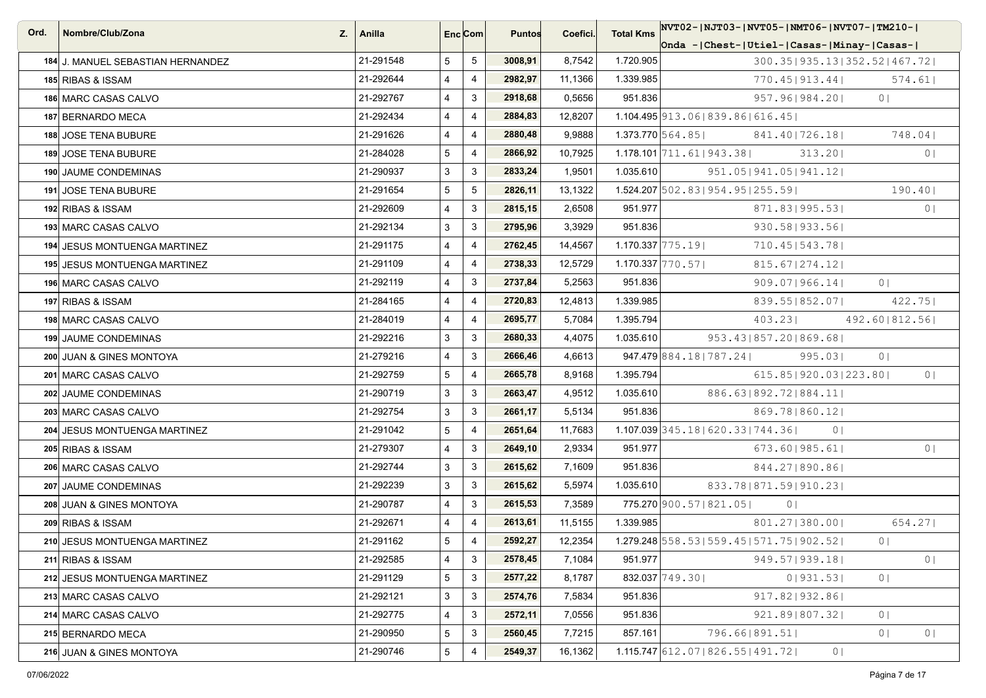| Ord. | Nombre/Club/Zona<br>Z.            | Anilla    |                | Enc Com        | <b>Puntos</b> | Coefici. | <b>Total Kms</b> | NVT02- NJT03- NVT05- NMT06- NVT07- TM210-              |                                  |
|------|-----------------------------------|-----------|----------------|----------------|---------------|----------|------------------|--------------------------------------------------------|----------------------------------|
|      |                                   |           |                |                |               |          |                  | Onda -   Chest-   Utiel-   Casas-   Minay-   Casas-    |                                  |
|      | 184 J. MANUEL SEBASTIAN HERNANDEZ | 21-291548 | 5              | 5              | 3008,91       | 8,7542   | 1.720.905        | 300.35   935.13   352.52   467.72                      |                                  |
|      | 185 RIBAS & ISSAM                 | 21-292644 | 4              | $\overline{4}$ | 2982,97       | 11,1366  | 1.339.985        | 770.45   913.44                                        | 574.61                           |
|      | 186 MARC CASAS CALVO              | 21-292767 | 4              | 3              | 2918,68       | 0,5656   | 951.836          | 957.96   984.20                                        | 0 <sup>1</sup>                   |
|      | 187 BERNARDO MECA                 | 21-292434 | 4              | $\overline{4}$ | 2884,83       | 12,8207  |                  | $1.104.495$ 913.06 839.86 616.45                       |                                  |
|      | 188 JOSE TENA BUBURE              | 21-291626 | 4              | $\overline{4}$ | 2880,48       | 9,9888   |                  | $1.373.770$ 564.85<br>841.40   726.18                  | 748.04                           |
|      | 189 JOSE TENA BUBURE              | 21-284028 | 5              | $\overline{4}$ | 2866,92       | 10,7925  |                  | 1.178.101 711 . 61   943 . 38  <br>313.201             | 0 <sub>1</sub>                   |
|      | 190 JAUME CONDEMINAS              | 21-290937 | 3              | 3              | 2833,24       | 1,9501   | 1.035.610        | 951.05 941.05 941.12                                   |                                  |
|      | 191 JOSE TENA BUBURE              | 21-291654 | 5              | 5              | 2826,11       | 13,1322  |                  | $1.524.207$ 502.83   954.95   255.59                   | 190.401                          |
|      | 192 RIBAS & ISSAM                 | 21-292609 | 4              | 3              | 2815,15       | 2,6508   | 951.977          | 871.83   995.53                                        | 0 <sup>1</sup>                   |
|      | 193 MARC CASAS CALVO              | 21-292134 | 3              | 3              | 2795,96       | 3,3929   | 951.836          | 930.58   933.56                                        |                                  |
|      | 194 JESUS MONTUENGA MARTINEZ      | 21-291175 | 4              | $\overline{4}$ | 2762,45       | 14,4567  |                  | $1.170.337$ 775.19<br>710.45   543.78                  |                                  |
|      | 195 JESUS MONTUENGA MARTINEZ      | 21-291109 | 4              | $\overline{4}$ | 2738,33       | 12,5729  |                  | $1.170.337$ 770.57<br>$815.67$   274.12                |                                  |
|      | 196 MARC CASAS CALVO              | 21-292119 | 4              | 3              | 2737,84       | 5,2563   | 951.836          | 909.071966.141                                         | 0 <sub>1</sub>                   |
|      | 197 RIBAS & ISSAM                 | 21-284165 | $\overline{4}$ | $\overline{4}$ | 2720,83       | 12,4813  | 1.339.985        | 839.55 852.07                                          | 422.75                           |
|      | 198 MARC CASAS CALVO              | 21-284019 | 4              | $\overline{4}$ | 2695,77       | 5,7084   | 1.395.794        | 403.23                                                 | 492.60   812.56                  |
|      | 199 JAUME CONDEMINAS              | 21-292216 | 3              | 3              | 2680,33       | 4,4075   | 1.035.610        | 953.43   857.20   869.68                               |                                  |
|      | 200 JUAN & GINES MONTOYA          | 21-279216 | 4              | 3              | 2666,46       | 4,6613   |                  | 947.479 884.18   787.24  <br>995.03                    | 0 <sub>1</sub>                   |
|      | 201 MARC CASAS CALVO              | 21-292759 | 5              | $\overline{4}$ | 2665,78       | 8,9168   | 1.395.794        | 615.851920.031223.801                                  | 0 <sub>1</sub>                   |
|      | 202 JAUME CONDEMINAS              | 21-290719 | 3              | 3              | 2663,47       | 4,9512   | 1.035.610        | 886.63   892.72   884.11                               |                                  |
|      | 203 MARC CASAS CALVO              | 21-292754 | 3              | 3              | 2661,17       | 5,5134   | 951.836          | 869.78   860.12                                        |                                  |
|      | 204 JESUS MONTUENGA MARTINEZ      | 21-291042 | 5              | $\overline{4}$ | 2651,64       | 11,7683  |                  | 1.107.039 345.18   620.33   744.36  <br>0 <sub>1</sub> |                                  |
|      | 205 RIBAS & ISSAM                 | 21-279307 | $\overline{4}$ | 3              | 2649,10       | 2,9334   | 951.977          | $673.60$  985.61                                       | 0 <sub>1</sub>                   |
|      | 206 MARC CASAS CALVO              | 21-292744 | 3              | 3              | 2615,62       | 7,1609   | 951.836          | 844.27   890.86                                        |                                  |
|      | 207 JAUME CONDEMINAS              | 21-292239 | 3              | 3              | 2615,62       | 5,5974   | 1.035.610        | 833.78   871.59   910.23                               |                                  |
|      | 208 JUAN & GINES MONTOYA          | 21-290787 | 4              | 3              | 2615,53       | 7,3589   |                  | 775.270 900.57   821.05  <br>0 <sub>1</sub>            |                                  |
|      | 209 RIBAS & ISSAM                 | 21-292671 | 4              | $\overline{4}$ | 2613,61       | 11,5155  | 1.339.985        | 801.27   380.00                                        | 654.271                          |
|      | 210 JESUS MONTUENGA MARTINEZ      | 21-291162 | 5              | $\overline{4}$ | 2592,27       | 12,2354  |                  | 1.279.248 558.53   559.45   571.75   902.52            | 0 <sub>1</sub>                   |
|      | 211 RIBAS & ISSAM                 | 21-292585 | 4              | $\mathbf{3}$   | 2578,45       | 7,1084   | 951.977          | 949.57   939.18                                        | 0 <sub>1</sub>                   |
|      | 212 JESUS MONTUENGA MARTINEZ      | 21-291129 | 5              | 3              | 2577,22       | 8,1787   |                  | 832.037 749.30<br>0 931.53                             | 0 <sub>1</sub>                   |
|      | 213 MARC CASAS CALVO              | 21-292121 | 3              | 3              | 2574,76       | 7,5834   | 951.836          | 917.82   932.86                                        |                                  |
|      | 214 MARC CASAS CALVO              | 21-292775 | 4              | 3              | 2572,11       | 7,0556   | 951.836          | 921.891807.321                                         | 0 <sub>1</sub>                   |
|      | 215 BERNARDO MECA                 | 21-290950 | 5              | 3              | 2560,45       | 7,7215   | 857.161          | 796.66 891.51                                          | 0 <sup>1</sup><br>0 <sub>1</sub> |
|      | 216 JUAN & GINES MONTOYA          | 21-290746 | 5              | $\overline{4}$ | 2549,37       | 16,1362  |                  | $1.115.747$ 612.07 826.55   491.72  <br>0 <sub>1</sub> |                                  |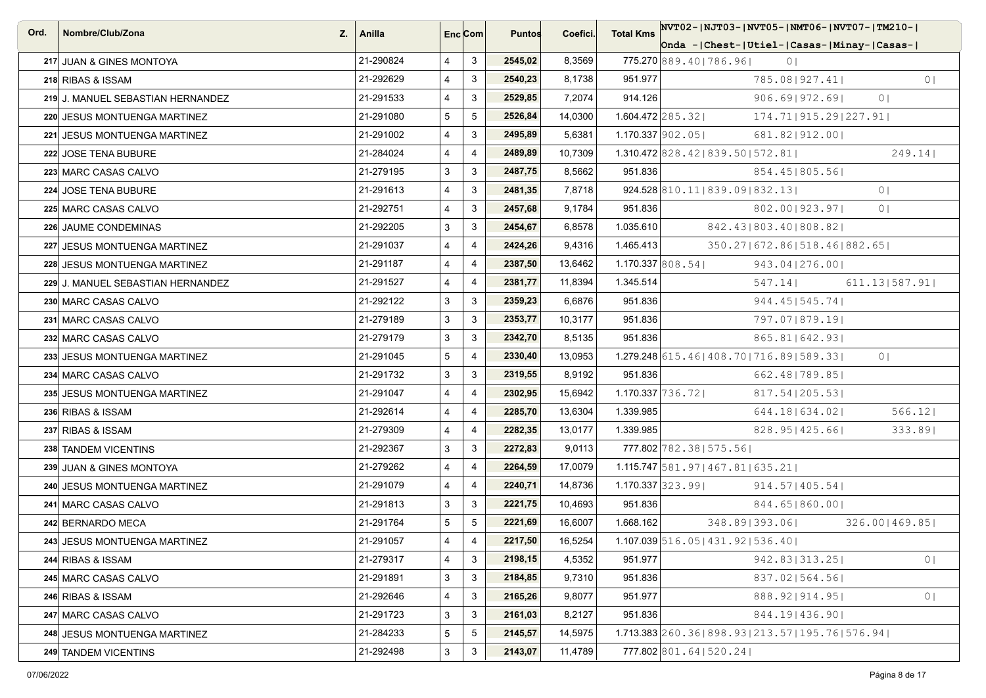| Ord. | Nombre/Club/Zona<br>Z.            | Anilla    |                | Enc Com        | <b>Puntos</b> | Coefici. | <b>Total Kms</b>   | NVT02-1NJT03-1NVT05-1NMT06-1NVT07-1TM210-1                        |
|------|-----------------------------------|-----------|----------------|----------------|---------------|----------|--------------------|-------------------------------------------------------------------|
|      |                                   |           |                |                |               |          |                    | Onda -   Chest-   Utiel-   Casas-   Minay-   Casas-               |
|      | 217 JUAN & GINES MONTOYA          | 21-290824 | 4              | 3              | 2545,02       | 8,3569   |                    | 775.270 889.40   786.96  <br>0 <sub>1</sub>                       |
|      | 218 RIBAS & ISSAM                 | 21-292629 | 4              | 3              | 2540,23       | 8,1738   | 951.977            | 0 <sub>1</sub><br>785.081927.411                                  |
|      | 219 J. MANUEL SEBASTIAN HERNANDEZ | 21-291533 | 4              | 3              | 2529,85       | 7,2074   | 914.126            | $906.69$   972.69 <br>0 <sup>1</sup>                              |
|      | 220 JESUS MONTUENGA MARTINEZ      | 21-291080 | 5              | 5              | 2526,84       | 14,0300  |                    | $1.604.472$  285.32<br>174.71   915.29   227.91                   |
|      | 221 JESUS MONTUENGA MARTINEZ      | 21-291002 | $\overline{4}$ | 3              | 2495,89       | 5,6381   |                    | $1.170.337$ 902.05<br>681.82   912.00                             |
|      | 222 JOSE TENA BUBURE              | 21-284024 | 4              | $\overline{4}$ | 2489,89       | 10,7309  |                    | $1.310.472$ 828.42   839.50   572.81  <br>249.14                  |
|      | 223 MARC CASAS CALVO              | 21-279195 | 3              | 3              | 2487,75       | 8,5662   | 951.836            | 854.45   805.56                                                   |
|      | 224 JOSE TENA BUBURE              | 21-291613 | $\overline{4}$ | 3              | 2481,35       | 7,8718   |                    | 924.528 810.11 839.09 832.13<br>0 <sup>1</sup>                    |
|      | 225 MARC CASAS CALVO              | 21-292751 | 4              | 3              | 2457,68       | 9,1784   | 951.836            | 802.00   923.97  <br>0 <sub>1</sub>                               |
|      | 226 JAUME CONDEMINAS              | 21-292205 | 3              | 3              | 2454,67       | 6,8578   | 1.035.610          | 842.43   803.40   808.82                                          |
|      | 227 JESUS MONTUENGA MARTINEZ      | 21-291037 | 4              | $\overline{4}$ | 2424,26       | 9,4316   | 1.465.413          | 350.27   672.86   518.46   882.65                                 |
|      | 228 JESUS MONTUENGA MARTINEZ      | 21-291187 | 4              | $\overline{4}$ | 2387,50       | 13,6462  |                    | $1.170.337$ 808.54<br>943.04   276.00                             |
|      | 229 J. MANUEL SEBASTIAN HERNANDEZ | 21-291527 | 4              | $\overline{4}$ | 2381,77       | 11,8394  | 1.345.514          | 547.14<br>611.13 587.91                                           |
|      | 230 MARC CASAS CALVO              | 21-292122 | 3              | 3              | 2359,23       | 6,6876   | 951.836            | 944.45   545.74                                                   |
|      | 231 MARC CASAS CALVO              | 21-279189 | 3              | 3              | 2353,77       | 10,3177  | 951.836            | 797.07   879.19                                                   |
|      | 232 MARC CASAS CALVO              | 21-279179 | 3              | 3              | 2342,70       | 8,5135   | 951.836            | 865.81   642.93                                                   |
|      | 233 JESUS MONTUENGA MARTINEZ      | 21-291045 | 5              | $\overline{4}$ | 2330,40       | 13,0953  |                    | $1.279.248$ 615.46   408.70   716.89   589.33  <br>0 <sup>1</sup> |
|      | 234 MARC CASAS CALVO              | 21-291732 | 3              | 3              | 2319,55       | 8,9192   | 951.836            | 662.48   789.85                                                   |
|      | 235 JESUS MONTUENGA MARTINEZ      | 21-291047 | 4              | $\overline{4}$ | 2302,95       | 15,6942  | $1.170.337$ 736.72 | 817.54 205.53                                                     |
|      | 236 RIBAS & ISSAM                 | 21-292614 | 4              | $\overline{4}$ | 2285,70       | 13,6304  | 1.339.985          | 566.12<br>644.18   634.02                                         |
|      | 237 RIBAS & ISSAM                 | 21-279309 | $\overline{4}$ | $\overline{4}$ | 2282,35       | 13,0177  | 1.339.985          | $828.95$   425.66 <br>333.891                                     |
|      | 238 TANDEM VICENTINS              | 21-292367 | 3              | 3              | 2272,83       | 9,0113   |                    | 777.802 782.38   575.56                                           |
|      | 239 JUAN & GINES MONTOYA          | 21-279262 | 4              | $\overline{4}$ | 2264,59       | 17,0079  |                    | $1.115.747$ 581.97   467.81   635.21                              |
|      | 240 JESUS MONTUENGA MARTINEZ      | 21-291079 | 4              | $\overline{4}$ | 2240,71       | 14,8736  |                    | $1.170.337$ 323.99<br>$914.57$  405.54                            |
|      | 241 MARC CASAS CALVO              | 21-291813 | 3              | $\mathbf{3}$   | 2221,75       | 10,4693  | 951.836            | 844.65   860.00                                                   |
|      | 242 BERNARDO MECA                 | 21-291764 | 5              | 5              | 2221,69       | 16,6007  | 1.668.162          | 348.89 393.06<br>326.001469.851                                   |
|      | 243 JESUS MONTUENGA MARTINEZ      | 21-291057 | 4              | $\overline{4}$ | 2217,50       | 16,5254  |                    | 1.107.039 516.05   431.92   536.40                                |
|      | 244 RIBAS & ISSAM                 | 21-279317 | 4              | 3              | 2198,15       | 4,5352   | 951.977            | 942.83   313.25  <br>0 <sub>1</sub>                               |
|      | 245 MARC CASAS CALVO              | 21-291891 | 3              | 3              | 2184,85       | 9,7310   | 951.836            | 837.02 564.56                                                     |
|      | 246 RIBAS & ISSAM                 | 21-292646 | 4              | 3              | 2165,26       | 9,8077   | 951.977            | 0 <sub>1</sub><br>888.92 914.95                                   |
|      | 247 MARC CASAS CALVO              | 21-291723 | 3              | 3              | 2161,03       | 8,2127   | 951.836            | 844.19 436.90                                                     |
|      | 248 JESUS MONTUENGA MARTINEZ      | 21-284233 | 5              | 5              | 2145,57       | 14,5975  |                    | $1.713.383$ $260.36$   898.93   213.57   195.76   576.94          |
|      | 249 TANDEM VICENTINS              | 21-292498 | 3              | $\mathbf{3}$   | 2143,07       | 11,4789  |                    | 777.802 801.64   520.24                                           |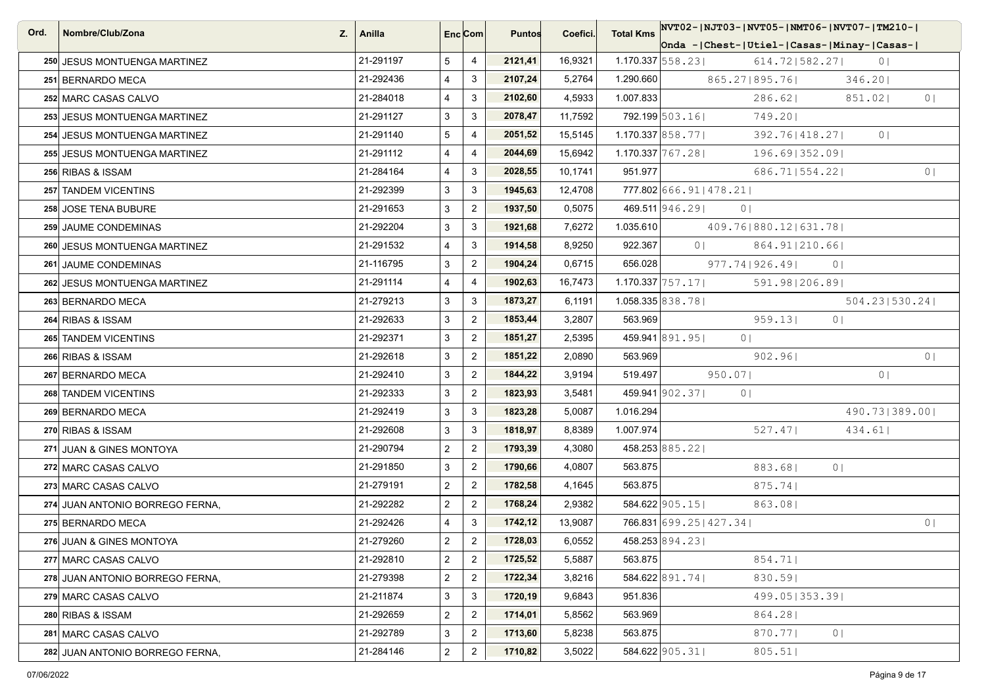| Ord. | Nombre/Club/Zona<br>Z.          | Anilla    |                         | Enc <sub>i</sub> Com | <b>Puntos</b> | Coefici. | NVT02-  NJT03-  NVT05-  NMT06-  NVT07-  TM210-<br><b>Total Kms</b> |
|------|---------------------------------|-----------|-------------------------|----------------------|---------------|----------|--------------------------------------------------------------------|
|      |                                 |           |                         |                      |               |          | Onda - Chest-   Utiel-   Casas-   Minay-   Casas-                  |
|      | 250 JESUS MONTUENGA MARTINEZ    | 21-291197 | 5                       | 4                    | 2121,41       | 16,9321  | $1.170.337$ 558.23<br>614.72   582.27  <br>0 <sub>1</sub>          |
|      | 251 BERNARDO MECA               | 21-292436 | 4                       | 3                    | 2107,24       | 5,2764   | 1.290.660<br>865.27   895.76  <br>346.20                           |
|      | 252 MARC CASAS CALVO            | 21-284018 | 4                       | 3                    | 2102,60       | 4,5933   | 1.007.833<br>286.62<br>851.02<br>0 <sup>1</sup>                    |
|      | 253 JESUS MONTUENGA MARTINEZ    | 21-291127 | 3                       | 3                    | 2078,47       | 11,7592  | 792.199 503.16<br>749.201                                          |
|      | 254 JESUS MONTUENGA MARTINEZ    | 21-291140 | 5                       | 4                    | 2051,52       | 15,5145  | $1.170.337$ 858.77<br>392.76   418.27  <br>0 <sup>1</sup>          |
|      | 255 JESUS MONTUENGA MARTINEZ    | 21-291112 | 4                       | $\overline{4}$       | 2044,69       | 15,6942  | $1.170.337$ $767.28$  <br>196.69 352.09                            |
|      | 256 RIBAS & ISSAM               | 21-284164 | 4                       | 3                    | 2028,55       | 10,1741  | 951.977<br>686.71 554.22 <br>0 <sub>1</sub>                        |
|      | 257 TANDEM VICENTINS            | 21-292399 | 3                       | 3                    | 1945,63       | 12,4708  | 777.802 666.91   478.21                                            |
|      | 258 JOSE TENA BUBURE            | 21-291653 | 3                       | $\mathbf{2}$         | 1937,50       | 0,5075   | 469.511 946.29<br>0 <sub>1</sub>                                   |
|      | 259 JAUME CONDEMINAS            | 21-292204 | 3                       | $\mathbf{3}$         | 1921,68       | 7,6272   | 1.035.610<br>409.76 880.12   631.78                                |
|      | 260 JESUS MONTUENGA MARTINEZ    | 21-291532 | 4                       | 3                    | 1914,58       | 8,9250   | 922.367<br>0 <sub>1</sub><br>864.91   210.66                       |
|      | 261 JAUME CONDEMINAS            | 21-116795 | 3                       | $\overline{2}$       | 1904,24       | 0,6715   | 656.028<br>977.74   926.49  <br>0 <sup>1</sup>                     |
|      | 262 JESUS MONTUENGA MARTINEZ    | 21-291114 | 4                       | 4                    | 1902,63       | 16,7473  | $1.170.337$ 757.17<br>591.98   206.89                              |
|      | 263 BERNARDO MECA               | 21-279213 | 3                       | $\mathbf{3}$         | 1873,27       | 6,1191   | 1.058.335 838.781<br>504.231530.241                                |
|      | 264 RIBAS & ISSAM               | 21-292633 | 3                       | $\overline{2}$       | 1853,44       | 3,2807   | 563.969<br>959.13<br>0 <sup>1</sup>                                |
|      | 265 TANDEM VICENTINS            | 21-292371 | 3                       | $\overline{2}$       | 1851,27       | 2,5395   | 459.941 891.95<br>0 <sup>1</sup>                                   |
|      | 266 RIBAS & ISSAM               | 21-292618 | 3                       | $\overline{2}$       | 1851,22       | 2,0890   | 563.969<br>0 <sub>1</sub><br>902.96                                |
|      | 267 BERNARDO MECA               | 21-292410 | 3                       | $\overline{2}$       | 1844,22       | 3,9194   | 519.497<br>950.07<br>0 <sub>1</sub>                                |
|      | 268 TANDEM VICENTINS            | 21-292333 | 3                       | $\overline{2}$       | 1823,93       | 3,5481   | 459.941 902.37<br>0 <sub>1</sub>                                   |
|      | 269 BERNARDO MECA               | 21-292419 | 3                       | 3                    | 1823,28       | 5,0087   | 1.016.294<br>490.73   389.00                                       |
|      | 270 RIBAS & ISSAM               | 21-292608 | 3                       | 3                    | 1818,97       | 8,8389   | 1.007.974<br>527.47<br>434.61                                      |
|      | 271 JUAN & GINES MONTOYA        | 21-290794 | $\overline{a}$          | $\overline{2}$       | 1793,39       | 4,3080   | 458.253 885.22                                                     |
|      | 272 MARC CASAS CALVO            | 21-291850 | 3                       | $\overline{2}$       | 1790,66       | 4,0807   | 563.875<br>883.68<br>0 <sup>1</sup>                                |
|      | 273 MARC CASAS CALVO            | 21-279191 | $\overline{a}$          | $\overline{2}$       | 1782,58       | 4,1645   | 563.875<br>875.74                                                  |
|      | 274 JUAN ANTONIO BORREGO FERNA. | 21-292282 | $\overline{\mathbf{c}}$ | $\overline{2}$       | 1768,24       | 2,9382   | $584.622$   905.15  <br>863.08                                     |
|      | 275 BERNARDO MECA               | 21-292426 | 4                       | 3                    | 1742,12       | 13,9087  | 766.831 699.25   427.34  <br>0 <sub>1</sub>                        |
|      | 276 JUAN & GINES MONTOYA        | 21-279260 | $\overline{2}$          | $\overline{2}$       | 1728,03       | 6,0552   | 458.253 894.23                                                     |
|      | 277 MARC CASAS CALVO            | 21-292810 | $\overline{\mathbf{c}}$ | $\overline{2}$       | 1725,52       | 5,5887   | 854.71 <br>563.875                                                 |
|      | 278 JUAN ANTONIO BORREGO FERNA, | 21-279398 | $\overline{\mathbf{c}}$ | $\overline{2}$       | 1722,34       | 3,8216   | 584.622 891.74<br>830.591                                          |
|      | 279 MARC CASAS CALVO            | 21-211874 | 3                       | $\mathbf{3}$         | 1720,19       | 9,6843   | 951.836<br>499.05   353.39                                         |
|      | 280 RIBAS & ISSAM               | 21-292659 | $\overline{2}$          | $\overline{2}$       | 1714,01       | 5,8562   | 563.969<br>864.28                                                  |
|      | 281 MARC CASAS CALVO            | 21-292789 | 3                       | $\overline{2}$       | 1713,60       | 5,8238   | 563.875<br>870.771<br>0 <sub>1</sub>                               |
|      | 282 JUAN ANTONIO BORREGO FERNA, | 21-284146 | $\overline{\mathbf{c}}$ | $\overline{2}$       | 1710,82       | 3,5022   | 584.622 905.31<br>805.51                                           |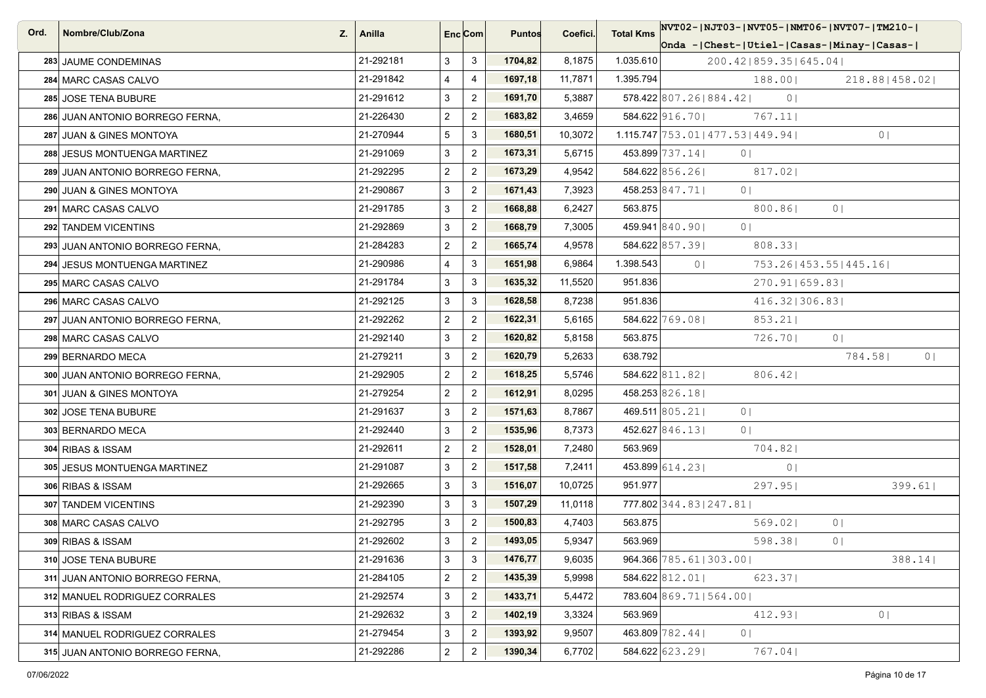| Ord. | Nombre/Club/Zona<br>Z.          | Anilla    | Enc <sub>i</sub> Com |                | <b>Puntos</b> | Coefici. | <b>Total Kms</b> | NVT02- NJT03- NVT05- NMT06- NVT07- TM210-                              |
|------|---------------------------------|-----------|----------------------|----------------|---------------|----------|------------------|------------------------------------------------------------------------|
|      |                                 |           |                      |                |               |          |                  | Onda -   Chest-   Utiel-   Casas-   Minay-   Casas-                    |
|      | 283 JAUME CONDEMINAS            | 21-292181 | 3                    | 3              | 1704,82       | 8,1875   | 1.035.610        | 200.42   859.35   645.04                                               |
|      | 284 MARC CASAS CALVO            | 21-291842 | 4                    | 4              | 1697,18       | 11,7871  | 1.395.794        | 188.00<br>218.88   458.02                                              |
|      | 285 JOSE TENA BUBURE            | 21-291612 | 3                    | $\overline{2}$ | 1691,70       | 5,3887   |                  | $578.422$ 807.26 884.42<br>0 <sub>1</sub>                              |
|      | 286 JUAN ANTONIO BORREGO FERNA, | 21-226430 | $\overline{a}$       | $\overline{2}$ | 1683,82       | 3,4659   |                  | 584.622 916.70<br>767.11                                               |
|      | 287 JUAN & GINES MONTOYA        | 21-270944 | 5                    | 3              | 1680,51       | 10,3072  |                  | $1.115.747 \mid 753.01 \mid 477.53 \mid 449.94 \mid$<br>0 <sub>1</sub> |
|      | 288 JESUS MONTUENGA MARTINEZ    | 21-291069 | 3                    | $\mathbf{2}$   | 1673,31       | 5,6715   |                  | 453.899 737.14<br>$\circ$                                              |
|      | 289 JUAN ANTONIO BORREGO FERNA. | 21-292295 | $\overline{a}$       | $\overline{2}$ | 1673,29       | 4,9542   |                  | 584.622 856.26<br>817.02                                               |
|      | 290 JUAN & GINES MONTOYA        | 21-290867 | 3                    | $\overline{2}$ | 1671,43       | 7,3923   |                  | 458.253 847.71<br>0 <sub>1</sub>                                       |
|      | 291 MARC CASAS CALVO            | 21-291785 | 3                    | $\overline{2}$ | 1668,88       | 6,2427   | 563.875          | 0 <sup>1</sup><br>800.86                                               |
|      | 292 TANDEM VICENTINS            | 21-292869 | 3                    | $\overline{2}$ | 1668,79       | 7,3005   |                  | 459.941 840.90<br>0 <sub>1</sub>                                       |
|      | 293 JUAN ANTONIO BORREGO FERNA, | 21-284283 | $\overline{c}$       | $\overline{2}$ | 1665,74       | 4,9578   |                  | 584.622 857.39<br>808.33                                               |
|      | 294 JESUS MONTUENGA MARTINEZ    | 21-290986 | 4                    | 3              | 1651,98       | 6,9864   | 1.398.543        | 0 <sub>1</sub><br>753.26   453.55   445.16                             |
|      | 295 MARC CASAS CALVO            | 21-291784 | 3                    | 3              | 1635,32       | 11,5520  | 951.836          | 270.91 659.83                                                          |
|      | 296 MARC CASAS CALVO            | 21-292125 | 3                    | 3              | 1628,58       | 8,7238   | 951.836          | 416.32 306.83                                                          |
|      | 297 JUAN ANTONIO BORREGO FERNA, | 21-292262 | $\overline{a}$       | $\overline{2}$ | 1622,31       | 5,6165   |                  | 584.622 769.08<br>853.21                                               |
|      | 298 MARC CASAS CALVO            | 21-292140 | 3                    | $\overline{2}$ | 1620,82       | 5,8158   | 563.875          | 726.70<br>0 <sup>1</sup>                                               |
|      | 299 BERNARDO MECA               | 21-279211 | 3                    | $\overline{2}$ | 1620,79       | 5,2633   | 638.792          | 784.58<br>0 <sup>1</sup>                                               |
|      | 300 JUAN ANTONIO BORREGO FERNA, | 21-292905 | $\overline{a}$       | $\overline{2}$ | 1618,25       | 5,5746   |                  | 584.622 811.82<br>$806.42$                                             |
|      | 301 JUAN & GINES MONTOYA        | 21-279254 | $\overline{a}$       | $\overline{2}$ | 1612,91       | 8,0295   |                  | 458.253 826.18                                                         |
|      | 302 JOSE TENA BUBURE            | 21-291637 | 3                    | $\overline{2}$ | 1571,63       | 8,7867   |                  | 469.511 805.21<br>0 <sub>1</sub>                                       |
|      | 303 BERNARDO MECA               | 21-292440 | 3                    | $\overline{2}$ | 1535,96       | 8,7373   |                  | 452.627 846.13<br>0 <sub>1</sub>                                       |
|      | 304 RIBAS & ISSAM               | 21-292611 | $\overline{a}$       | $\overline{2}$ | 1528,01       | 7,2480   | 563.969          | 704.82                                                                 |
|      | 305 JESUS MONTUENGA MARTINEZ    | 21-291087 | 3                    | $\overline{2}$ | 1517,58       | 7,2411   |                  | 453.899 614.23<br>0 <sup>1</sup>                                       |
|      | 306 RIBAS & ISSAM               | 21-292665 | 3                    | 3              | 1516,07       | 10,0725  | 951.977          | 297.95<br>399.61                                                       |
|      | 307 TANDEM VICENTINS            | 21-292390 | 3                    | 3              | 1507,29       | 11,0118  |                  | 777.802 344.83   247.81                                                |
|      | 308 MARC CASAS CALVO            | 21-292795 | 3                    | $\overline{2}$ | 1500,83       | 4,7403   | 563.875          | 569.02<br>0 <sup>1</sup>                                               |
|      | 309 RIBAS & ISSAM               | 21-292602 | 3                    | $\overline{2}$ | 1493,05       | 5,9347   | 563.969          | 598.381<br>0 <sup>1</sup>                                              |
|      | 310 JOSE TENA BUBURE            | 21-291636 | 3                    | $\mathbf{3}$   | 1476,77       | 9,6035   |                  | 964.366 785.61   303.00  <br>$388.14$                                  |
|      | 311 JUAN ANTONIO BORREGO FERNA. | 21-284105 | $\overline{a}$       | $\overline{c}$ | 1435,39       | 5,9998   |                  | 584.622 812.01<br>623.37                                               |
|      | 312 MANUEL RODRIGUEZ CORRALES   | 21-292574 | 3                    | $\overline{2}$ | 1433,71       | 5,4472   |                  | 783.604 869.71   564.00                                                |
|      | 313 RIBAS & ISSAM               | 21-292632 | 3                    | $\overline{a}$ | 1402,19       | 3,3324   | 563.969          | 412.93<br>0 <sub>1</sub>                                               |
|      | 314 MANUEL RODRIGUEZ CORRALES   | 21-279454 | 3                    | $\overline{2}$ | 1393,92       | 9,9507   |                  | 463.809 782.44<br>0 <sub>1</sub>                                       |
|      | 315 JUAN ANTONIO BORREGO FERNA, | 21-292286 | $\overline{a}$       | $\mathbf{2}$   | 1390,34       | 6,7702   |                  | 584.622 623.29<br>767.04                                               |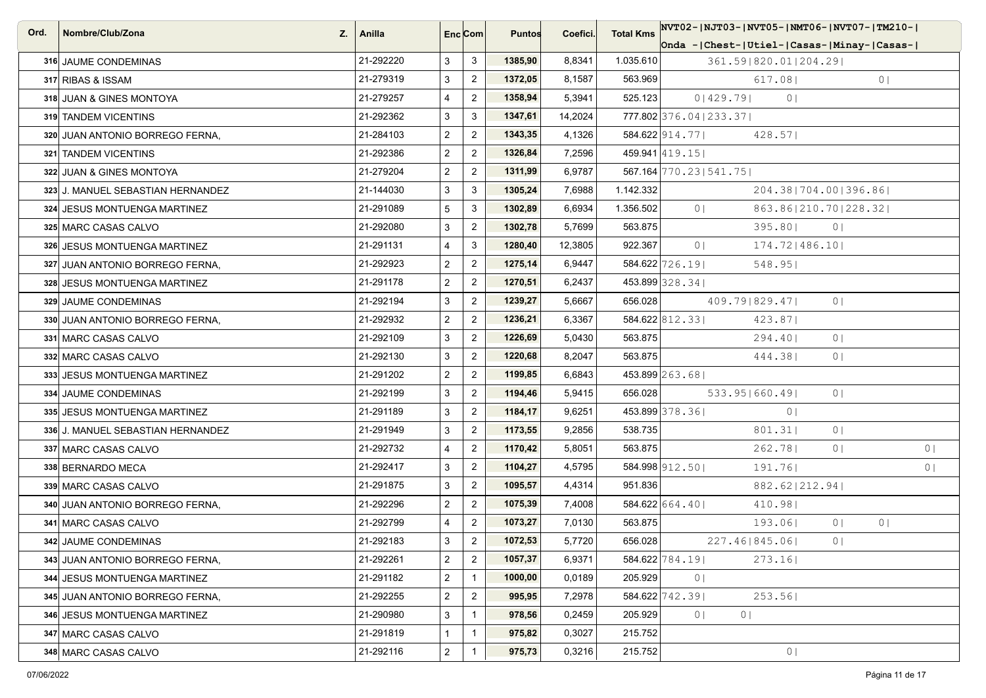| Ord. | Nombre/Club/Zona<br>Z.            | Anilla    | Enc Com                 |                | <b>Puntos</b> | Coefici. | <b>Total Kms</b> |                         | NVT02- NJT03- NVT05- NMT06- NVT07- TM210-         |                |                |                |
|------|-----------------------------------|-----------|-------------------------|----------------|---------------|----------|------------------|-------------------------|---------------------------------------------------|----------------|----------------|----------------|
|      |                                   |           |                         |                |               |          |                  |                         | Onda - Chest-   Utiel-   Casas-   Minay-   Casas- |                |                |                |
|      | 316 JAUME CONDEMINAS              | 21-292220 | 3                       | 3              | 1385,90       | 8,8341   | 1.035.610        |                         | 361.59 820.01 204.29                              |                |                |                |
|      | 317 RIBAS & ISSAM                 | 21-279319 | 3                       | $\overline{2}$ | 1372,05       | 8,1587   | 563.969          |                         | 617.081                                           |                | 0 <sup>1</sup> |                |
|      | 318 JUAN & GINES MONTOYA          | 21-279257 | 4                       | $\overline{2}$ | 1358,94       | 5,3941   | 525.123          | 0 429.79                | 0 <sub>1</sub>                                    |                |                |                |
|      | 319 TANDEM VICENTINS              | 21-292362 | 3                       | $\mathbf{3}$   | 1347,61       | 14,2024  |                  | 777.802 376.04   233.37 |                                                   |                |                |                |
|      | 320 JUAN ANTONIO BORREGO FERNA,   | 21-284103 | $\overline{a}$          | $\overline{2}$ | 1343,35       | 4,1326   |                  | 584.622 914.77          | 428.57                                            |                |                |                |
|      | 321 TANDEM VICENTINS              | 21-292386 | $\overline{a}$          | $\overline{2}$ | 1326,84       | 7,2596   |                  | 459.941 419.15          |                                                   |                |                |                |
|      | 322 JUAN & GINES MONTOYA          | 21-279204 | $\overline{a}$          | $\overline{2}$ | 1311,99       | 6,9787   |                  | 567.164 770.23   541.75 |                                                   |                |                |                |
|      | 323 J. MANUEL SEBASTIAN HERNANDEZ | 21-144030 | 3                       | 3              | 1305,24       | 7,6988   | 1.142.332        |                         | 204.381704.001396.861                             |                |                |                |
|      | 324 JESUS MONTUENGA MARTINEZ      | 21-291089 | 5                       | 3              | 1302,89       | 6,6934   | 1.356.502        | 0 <sup>1</sup>          | 863.86 210.70 228.32                              |                |                |                |
|      | 325 MARC CASAS CALVO              | 21-292080 | 3                       | $\overline{2}$ | 1302,78       | 5,7699   | 563.875          |                         | 395.80                                            | 0 <sup>1</sup> |                |                |
|      | 326 JESUS MONTUENGA MARTINEZ      | 21-291131 | 4                       | 3              | 1280,40       | 12,3805  | 922.367          | 0 <sub>1</sub>          | $174.72$  486.10                                  |                |                |                |
|      | 327 JUAN ANTONIO BORREGO FERNA,   | 21-292923 | $\overline{a}$          | $\overline{2}$ | 1275,14       | 6,9447   |                  | 584.622 726.19          | 548.95                                            |                |                |                |
|      | 328 JESUS MONTUENGA MARTINEZ      | 21-291178 | $\overline{a}$          | $\overline{2}$ | 1270,51       | 6,2437   |                  | 453.899 328.34          |                                                   |                |                |                |
|      | 329 JAUME CONDEMINAS              | 21-292194 | 3                       | $\overline{2}$ | 1239,27       | 5,6667   | 656.028          |                         | 409.79 829.47                                     | 0 <sup>1</sup> |                |                |
|      | 330 JUAN ANTONIO BORREGO FERNA,   | 21-292932 | $\overline{a}$          | $\overline{2}$ | 1236,21       | 6,3367   |                  | 584.622 812.33          | 423.87                                            |                |                |                |
|      | 331 MARC CASAS CALVO              | 21-292109 | 3                       | $\overline{2}$ | 1226,69       | 5,0430   | 563.875          |                         | 294.401                                           | 0 <sup>1</sup> |                |                |
|      | 332 MARC CASAS CALVO              | 21-292130 | 3                       | $\overline{2}$ | 1220,68       | 8,2047   | 563.875          |                         | 444.38                                            | 0 <sup>1</sup> |                |                |
|      | 333 JESUS MONTUENGA MARTINEZ      | 21-291202 | $\overline{a}$          | $\overline{2}$ | 1199,85       | 6,6843   |                  | 453.899 263.68          |                                                   |                |                |                |
|      | 334 JAUME CONDEMINAS              | 21-292199 | 3                       | $\overline{2}$ | 1194,46       | 5,9415   | 656.028          |                         | 533.95 660.49                                     | 0 <sup>1</sup> |                |                |
|      | 335 JESUS MONTUENGA MARTINEZ      | 21-291189 | 3                       | $\overline{2}$ | 1184,17       | 9,6251   |                  | 453.899 378.36          | 0 <sub>1</sub>                                    |                |                |                |
|      | 336 J. MANUEL SEBASTIAN HERNANDEZ | 21-291949 | 3                       | $\overline{2}$ | 1173,55       | 9,2856   | 538.735          |                         | 801.31                                            | 0 <sub>1</sub> |                |                |
|      | 337 MARC CASAS CALVO              | 21-292732 | 4                       | $\overline{2}$ | 1170,42       | 5,8051   | 563.875          |                         | 262.78                                            | 0 <sup>1</sup> |                | 0 <sub>1</sub> |
|      | 338 BERNARDO MECA                 | 21-292417 | 3                       | $\overline{2}$ | 1104,27       | 4,5795   |                  | 584.998 912.50          | 191.76                                            |                |                | 0 <sub>1</sub> |
|      | 339 MARC CASAS CALVO              | 21-291875 | 3                       | $\overline{2}$ | 1095,57       | 4,4314   | 951.836          |                         | 882.62 212.94                                     |                |                |                |
|      | 340 JUAN ANTONIO BORREGO FERNA,   | 21-292296 | $\overline{a}$          | $\overline{2}$ | 1075,39       | 7,4008   |                  | $584.622$ 664.40        | 410.98                                            |                |                |                |
|      | 341 MARC CASAS CALVO              | 21-292799 | 4                       | $\overline{2}$ | 1073,27       | 7,0130   | 563.875          |                         | 193.061                                           | 0 <sub>1</sub> | 0 <sub>1</sub> |                |
|      | 342 JAUME CONDEMINAS              | 21-292183 | 3                       | $\overline{2}$ | 1072,53       | 5,7720   | 656.028          |                         | 227.46   845.06                                   | 0 <sup>1</sup> |                |                |
|      | 343 JUAN ANTONIO BORREGO FERNA.   | 21-292261 | $\overline{c}$          | $\overline{2}$ | 1057,37       | 6,9371   |                  | 584.622 784.19          | 273.16                                            |                |                |                |
|      | 344 JESUS MONTUENGA MARTINEZ      | 21-291182 | $\overline{\mathbf{c}}$ | $\mathbf{1}$   | 1000,00       | 0,0189   | 205.929          | 0 <sub>1</sub>          |                                                   |                |                |                |
|      | 345 JUAN ANTONIO BORREGO FERNA.   | 21-292255 | $\overline{\mathbf{c}}$ | $\overline{2}$ | 995,95        | 7,2978   |                  | 584.622 742.39          | 253.56                                            |                |                |                |
|      | 346 JESUS MONTUENGA MARTINEZ      | 21-290980 | 3                       | $\mathbf{1}$   | 978,56        | 0,2459   | 205.929          | 0 <sub>1</sub>          | 0 <sub>1</sub>                                    |                |                |                |
|      | 347 MARC CASAS CALVO              | 21-291819 | 1                       |                | 975,82        | 0,3027   | 215.752          |                         |                                                   |                |                |                |
|      | 348 MARC CASAS CALVO              | 21-292116 | $\overline{a}$          |                | 975,73        | 0,3216   | 215.752          |                         | 0 <sub>1</sub>                                    |                |                |                |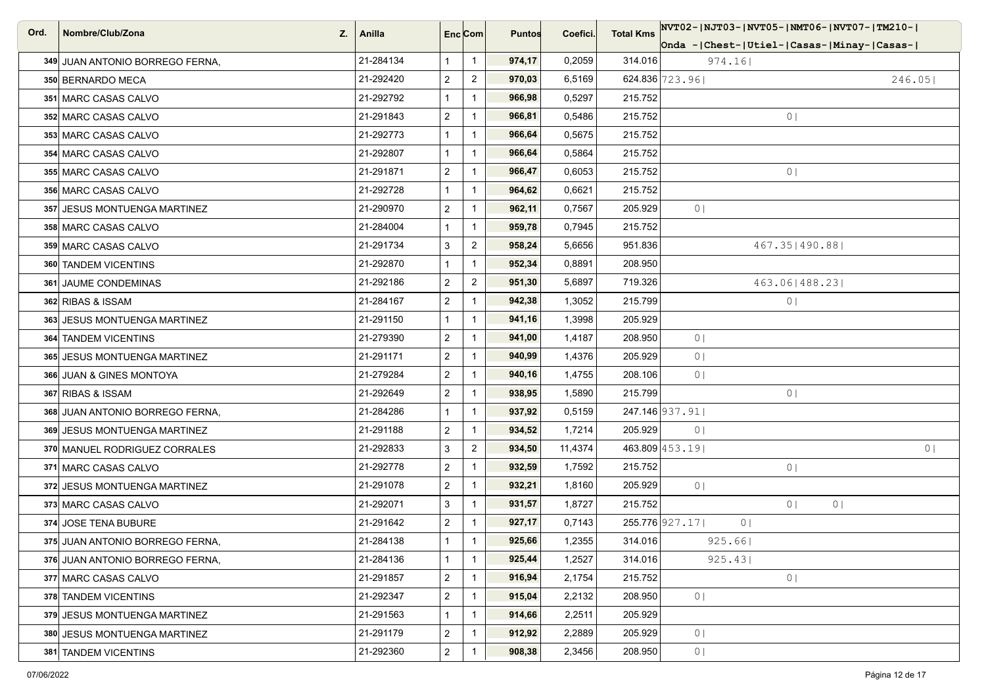| Ord. | Nombre/Club/Zona<br>Z.          | Anilla    | Enc <sub>i</sub> Com |                | <b>Puntos</b> | Coefici. | <b>Total Kms</b> | NVT02- NJT03- NVT05- NMT06- NVT07- TM210-           |  |  |  |
|------|---------------------------------|-----------|----------------------|----------------|---------------|----------|------------------|-----------------------------------------------------|--|--|--|
|      |                                 |           |                      |                |               |          |                  | Onda -   Chest-   Utiel-   Casas-   Minay-   Casas- |  |  |  |
|      | 349 JUAN ANTONIO BORREGO FERNA, | 21-284134 | 1                    | $\mathbf{1}$   | 974,17        | 0,2059   | 314.016          | 974.16                                              |  |  |  |
|      | 350 BERNARDO MECA               | 21-292420 | $\overline{2}$       | $\overline{c}$ | 970,03        | 6,5169   |                  | 624.836 723.96<br>246.05                            |  |  |  |
|      | 351 MARC CASAS CALVO            | 21-292792 | $\mathbf{1}$         | $\overline{1}$ | 966,98        | 0,5297   | 215.752          |                                                     |  |  |  |
|      | 352 MARC CASAS CALVO            | 21-291843 | $\overline{2}$       | $\overline{1}$ | 966,81        | 0,5486   | 215.752          | 0 <sub>1</sub>                                      |  |  |  |
|      | 353 MARC CASAS CALVO            | 21-292773 | $\mathbf{1}$         | $\overline{1}$ | 966,64        | 0,5675   | 215.752          |                                                     |  |  |  |
|      | 354 MARC CASAS CALVO            | 21-292807 | $\mathbf{1}$         | $\mathbf{1}$   | 966,64        | 0,5864   | 215.752          |                                                     |  |  |  |
|      | 355 MARC CASAS CALVO            | 21-291871 | $\overline{2}$       | $\overline{1}$ | 966,47        | 0,6053   | 215.752          | 0 <sub>1</sub>                                      |  |  |  |
|      | 356 MARC CASAS CALVO            | 21-292728 | $\mathbf{1}$         |                | 964,62        | 0,6621   | 215.752          |                                                     |  |  |  |
|      | 357 JESUS MONTUENGA MARTINEZ    | 21-290970 | $\overline{2}$       | $\overline{1}$ | 962,11        | 0,7567   | 205.929          | 0 <sub>1</sub>                                      |  |  |  |
|      | 358 MARC CASAS CALVO            | 21-284004 | $\mathbf{1}$         | $\mathbf{1}$   | 959,78        | 0,7945   | 215.752          |                                                     |  |  |  |
|      | 359 MARC CASAS CALVO            | 21-291734 | 3                    | $\overline{2}$ | 958,24        | 5,6656   | 951.836          | 467.35   490.88                                     |  |  |  |
|      | 360 TANDEM VICENTINS            | 21-292870 | $\mathbf{1}$         | $\mathbf{1}$   | 952,34        | 0,8891   | 208.950          |                                                     |  |  |  |
|      | 361 JAUME CONDEMINAS            | 21-292186 | $\overline{2}$       | $\overline{2}$ | 951,30        | 5,6897   | 719.326          | 463.06   488.23                                     |  |  |  |
|      | 362 RIBAS & ISSAM               | 21-284167 | $\overline{2}$       | $\mathbf{1}$   | 942,38        | 1,3052   | 215.799          | 0 <sub>1</sub>                                      |  |  |  |
|      | 363 JESUS MONTUENGA MARTINEZ    | 21-291150 | $\mathbf{1}$         | $\mathbf{1}$   | 941,16        | 1,3998   | 205.929          |                                                     |  |  |  |
|      | 364 TANDEM VICENTINS            | 21-279390 | $\overline{2}$       |                | 941,00        | 1,4187   | 208.950          | 0 <sup>1</sup>                                      |  |  |  |
|      | 365 JESUS MONTUENGA MARTINEZ    | 21-291171 | $\overline{2}$       | $\overline{1}$ | 940,99        | 1,4376   | 205.929          | 0 <sub>1</sub>                                      |  |  |  |
|      | 366 JUAN & GINES MONTOYA        | 21-279284 | $\overline{c}$       | $\mathbf{1}$   | 940,16        | 1,4755   | 208.106          | 0 <sub>1</sub>                                      |  |  |  |
|      | 367 RIBAS & ISSAM               | 21-292649 | $\overline{2}$       | $\mathbf{1}$   | 938,95        | 1,5890   | 215.799          | 0 <sub>1</sub>                                      |  |  |  |
|      | 368 JUAN ANTONIO BORREGO FERNA, | 21-284286 | $\mathbf{1}$         | $\overline{1}$ | 937,92        | 0,5159   |                  | 247.146 937.91                                      |  |  |  |
|      | 369 JESUS MONTUENGA MARTINEZ    | 21-291188 | $\overline{a}$       | $\mathbf 1$    | 934,52        | 1,7214   | 205.929          | 0 <sup>1</sup>                                      |  |  |  |
|      | 370 MANUEL RODRIGUEZ CORRALES   | 21-292833 | 3                    | $\overline{2}$ | 934,50        | 11,4374  |                  | 463.809 453.19<br>0 <sub>1</sub>                    |  |  |  |
|      | 371 MARC CASAS CALVO            | 21-292778 | $\overline{2}$       | $\mathbf{1}$   | 932,59        | 1,7592   | 215.752          | 0 <sub>1</sub>                                      |  |  |  |
|      | 372 JESUS MONTUENGA MARTINEZ    | 21-291078 | $\overline{2}$       |                | 932,21        | 1,8160   | 205.929          | 0 <sub>1</sub>                                      |  |  |  |
|      | 373 MARC CASAS CALVO            | 21-292071 | 3                    | $\overline{1}$ | 931,57        | 1,8727   | 215.752          | 0 <sub>1</sub><br>0                                 |  |  |  |
|      | 374 JOSE TENA BUBURE            | 21-291642 | $\overline{a}$       |                | 927,17        | 0,7143   |                  | 255.776 927.17<br>0 <sub>1</sub>                    |  |  |  |
|      | 375 JUAN ANTONIO BORREGO FERNA, | 21-284138 | $\mathbf{1}$         | $\mathbf 1$    | 925,66        | 1,2355   | 314.016          | 925.66                                              |  |  |  |
|      | 376 JUAN ANTONIO BORREGO FERNA. | 21-284136 | $\mathbf{1}$         | $\mathbf{1}$   | 925,44        | 1,2527   | 314.016          | 925.43                                              |  |  |  |
|      | 377 MARC CASAS CALVO            | 21-291857 | $\overline{a}$       | $\mathbf{1}$   | 916,94        | 2,1754   | 215.752          | 0 <sub>1</sub>                                      |  |  |  |
|      | 378 TANDEM VICENTINS            | 21-292347 | $\overline{c}$       | $\mathbf{1}$   | 915,04        | 2,2132   | 208.950          | 0 <sub>1</sub>                                      |  |  |  |
|      | 379 JESUS MONTUENGA MARTINEZ    | 21-291563 | $\mathbf{1}$         | $\mathbf{1}$   | 914,66        | 2,2511   | 205.929          |                                                     |  |  |  |
|      | 380 JESUS MONTUENGA MARTINEZ    | 21-291179 | $\overline{a}$       |                | 912,92        | 2,2889   | 205.929          | 0 <sup>1</sup>                                      |  |  |  |
|      | 381 TANDEM VICENTINS            | 21-292360 | $\overline{2}$       | $\mathbf{1}$   | 908,38        | 2,3456   | 208.950          | 0 <sub>1</sub>                                      |  |  |  |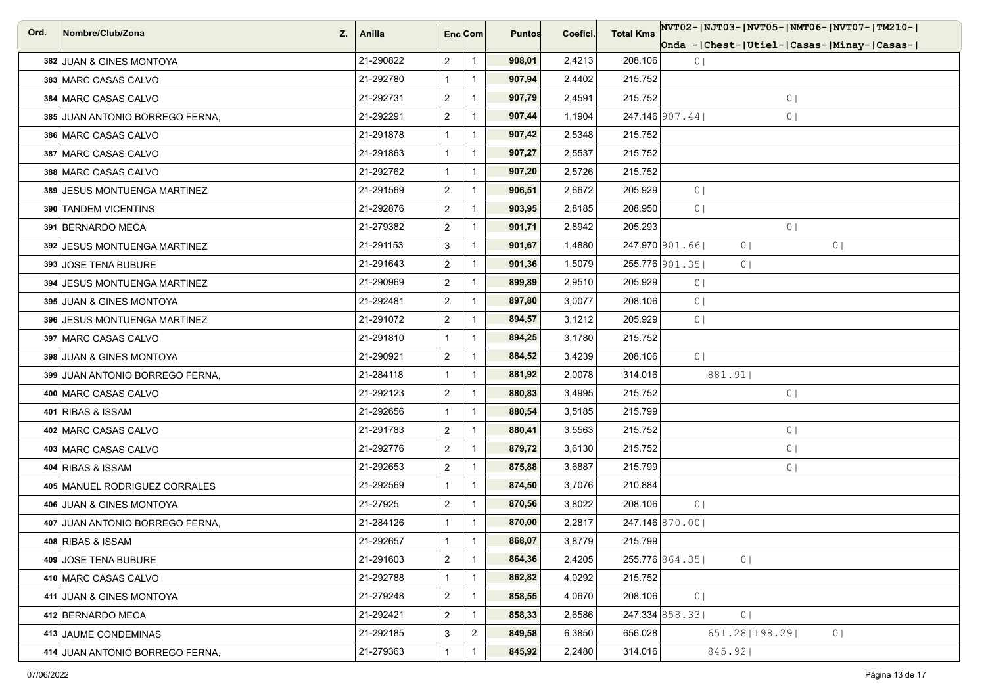| Ord. | Nombre/Club/Zona<br>Z.          | Anilla    | Enc[Com]       |                | <b>Puntos</b> | Coefici. | <b>Total Kms</b> | NVT02- NJT03- NVT05- NMT06- NVT07- TM210-          |
|------|---------------------------------|-----------|----------------|----------------|---------------|----------|------------------|----------------------------------------------------|
|      |                                 |           |                |                |               |          |                  | Onda - Chest-   Utiel-   Casas-   Minay-   Casas-  |
|      | 382 JUAN & GINES MONTOYA        | 21-290822 | $\overline{2}$ | $\overline{1}$ | 908,01        | 2,4213   | 208.106          | 0 <sub>1</sub>                                     |
|      | 383 MARC CASAS CALVO            | 21-292780 |                | $\overline{1}$ | 907,94        | 2,4402   | 215.752          |                                                    |
|      | 384 MARC CASAS CALVO            | 21-292731 | $\overline{c}$ | $\overline{1}$ | 907,79        | 2,4591   | 215.752          | 0 <sub>1</sub>                                     |
|      | 385 JUAN ANTONIO BORREGO FERNA, | 21-292291 | $\overline{2}$ | $\overline{1}$ | 907,44        | 1,1904   |                  | 247.146 907.44<br>0 <sub>1</sub>                   |
|      | 386 MARC CASAS CALVO            | 21-291878 |                | $\overline{1}$ | 907,42        | 2,5348   | 215.752          |                                                    |
|      | 387 MARC CASAS CALVO            | 21-291863 |                | $\overline{1}$ | 907,27        | 2,5537   | 215.752          |                                                    |
|      | 388 MARC CASAS CALVO            | 21-292762 |                | $\overline{1}$ | 907,20        | 2,5726   | 215.752          |                                                    |
|      | 389 JESUS MONTUENGA MARTINEZ    | 21-291569 | $\overline{2}$ | $\overline{1}$ | 906,51        | 2,6672   | 205.929          | 0 <sub>1</sub>                                     |
|      | 390 TANDEM VICENTINS            | 21-292876 | $\overline{2}$ | $\overline{1}$ | 903,95        | 2,8185   | 208.950          | 0 <sub>1</sub>                                     |
|      | 391 BERNARDO MECA               | 21-279382 | $\overline{2}$ | $\overline{1}$ | 901,71        | 2,8942   | 205.293          | 0 <sup>1</sup>                                     |
|      | 392 JESUS MONTUENGA MARTINEZ    | 21-291153 | 3              | $\overline{1}$ | 901,67        | 1,4880   |                  | 247.970 901.66<br>0 <sup>1</sup><br>0 <sub>1</sub> |
|      | 393 JOSE TENA BUBURE            | 21-291643 | $\overline{2}$ | $\overline{1}$ | 901,36        | 1,5079   |                  | 255.776 901.35<br>0 <sub>1</sub>                   |
|      | 394 JESUS MONTUENGA MARTINEZ    | 21-290969 | $\overline{2}$ | $\mathbf{1}$   | 899,89        | 2,9510   | 205.929          | 0 <sup>1</sup>                                     |
|      | 395 JUAN & GINES MONTOYA        | 21-292481 | $\overline{2}$ | $\overline{1}$ | 897,80        | 3,0077   | 208.106          | 0 <sup>1</sup>                                     |
|      | 396 JESUS MONTUENGA MARTINEZ    | 21-291072 | $\overline{2}$ | $\mathbf{1}$   | 894,57        | 3,1212   | 205.929          | 0 <sub>1</sub>                                     |
|      | 397 MARC CASAS CALVO            | 21-291810 |                | $\overline{1}$ | 894,25        | 3,1780   | 215.752          |                                                    |
|      | 398 JUAN & GINES MONTOYA        | 21-290921 | $\overline{2}$ | $\overline{1}$ | 884,52        | 3,4239   | 208.106          | 0 <sub>1</sub>                                     |
|      | 399 JUAN ANTONIO BORREGO FERNA, | 21-284118 |                | $\overline{1}$ | 881,92        | 2,0078   | 314.016          | 881.91                                             |
|      | 400 MARC CASAS CALVO            | 21-292123 | $\overline{c}$ | $\overline{1}$ | 880,83        | 3,4995   | 215.752          | 0 <sub>1</sub>                                     |
|      | 401 RIBAS & ISSAM               | 21-292656 |                | $\overline{1}$ | 880,54        | 3,5185   | 215.799          |                                                    |
|      | 402 MARC CASAS CALVO            | 21-291783 | $\overline{2}$ | $\overline{1}$ | 880,41        | 3,5563   | 215.752          | 0 <sub>1</sub>                                     |
|      | 403 MARC CASAS CALVO            | 21-292776 | $\overline{c}$ | $\overline{1}$ | 879,72        | 3,6130   | 215.752          | 0                                                  |
|      | 404 RIBAS & ISSAM               | 21-292653 | $\overline{2}$ | $\mathbf{1}$   | 875,88        | 3,6887   | 215.799          | 0 <sub>1</sub>                                     |
|      | 405 MANUEL RODRIGUEZ CORRALES   | 21-292569 |                | $\overline{1}$ | 874,50        | 3,7076   | 210.884          |                                                    |
|      | 406 JUAN & GINES MONTOYA        | 21-27925  | $\overline{2}$ | $\overline{1}$ | 870,56        | 3,8022   | 208.106          | 0 <sub>1</sub>                                     |
|      | 407 JUAN ANTONIO BORREGO FERNA, | 21-284126 |                | $\mathbf{1}$   | 870,00        | 2,2817   |                  | 247.146 870.00                                     |
|      | 408 RIBAS & ISSAM               | 21-292657 |                | $\mathbf{1}$   | 868,07        | 3,8779   | 215.799          |                                                    |
|      | 409 JOSE TENA BUBURE            | 21-291603 | $\overline{2}$ | $\overline{1}$ | 864,36        | 2,4205   |                  | 255.776 864.35<br>0 <sub>1</sub>                   |
|      | 410 MARC CASAS CALVO            | 21-292788 |                | $\overline{1}$ | 862,82        | 4,0292   | 215.752          |                                                    |
|      | 411 JUAN & GINES MONTOYA        | 21-279248 | $\overline{c}$ | $\overline{1}$ | 858,55        | 4,0670   | 208.106          | 0 <sub>1</sub>                                     |
|      | 412 BERNARDO MECA               | 21-292421 | $\overline{2}$ | $\mathbf{1}$   | 858,33        | 2,6586   |                  | 247.334 858.33<br>0 <sub>1</sub>                   |
|      | 413 JAUME CONDEMINAS            | 21-292185 | 3              | $\mathbf{2}$   | 849,58        | 6,3850   | 656.028          | 651.28   198.29  <br>0 <sup>1</sup>                |
|      | 414 JUAN ANTONIO BORREGO FERNA, | 21-279363 |                | $\overline{1}$ | 845,92        | 2,2480   | 314.016          | 845.92                                             |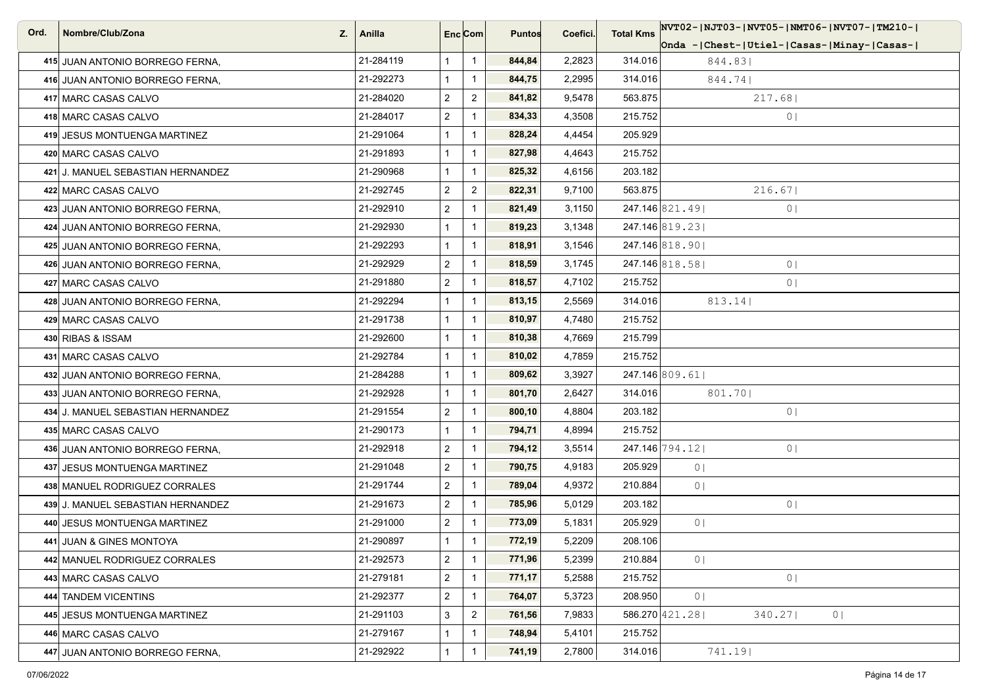| Ord. | Nombre/Club/Zona<br>Z.            | Anilla    | Enc <sub>i</sub> Com |                | <b>Puntos</b> | Coefici. | <b>Total Kms</b> | NVT02- NJT03- NVT05- NMT06- NVT07- TM210-           |
|------|-----------------------------------|-----------|----------------------|----------------|---------------|----------|------------------|-----------------------------------------------------|
|      |                                   |           |                      |                |               |          |                  | Onda -   Chest-   Utiel-   Casas-   Minay-   Casas- |
|      | 415 JUAN ANTONIO BORREGO FERNA,   | 21-284119 | $\mathbf{1}$         | $\overline{1}$ | 844,84        | 2,2823   | 314.016          | 844.83                                              |
|      | 416 JUAN ANTONIO BORREGO FERNA,   | 21-292273 | $\mathbf{1}$         | $\mathbf{1}$   | 844,75        | 2,2995   | 314.016          | 844.741                                             |
|      | 417 MARC CASAS CALVO              | 21-284020 | $\overline{2}$       | $\overline{2}$ | 841,82        | 9,5478   | 563.875          | 217.68                                              |
|      | 418 MARC CASAS CALVO              | 21-284017 | $\overline{2}$       | $\mathbf{1}$   | 834,33        | 4,3508   | 215.752          | 0 <sub>1</sub>                                      |
|      | 419 JESUS MONTUENGA MARTINEZ      | 21-291064 | $\mathbf{1}$         | $\overline{1}$ | 828,24        | 4,4454   | 205.929          |                                                     |
|      | 420 MARC CASAS CALVO              | 21-291893 | $\mathbf{1}$         | $\mathbf{1}$   | 827,98        | 4,4643   | 215.752          |                                                     |
|      | 421 J. MANUEL SEBASTIAN HERNANDEZ | 21-290968 | $\mathbf{1}$         | $\overline{1}$ | 825,32        | 4,6156   | 203.182          |                                                     |
|      | 422 MARC CASAS CALVO              | 21-292745 | $\overline{2}$       | $\overline{2}$ | 822,31        | 9,7100   | 563.875          | 216.67                                              |
|      | 423 JUAN ANTONIO BORREGO FERNA,   | 21-292910 | $\overline{2}$       | $\mathbf{1}$   | 821,49        | 3,1150   |                  | 247.146 821.49<br>0 <sub>1</sub>                    |
|      | 424 JUAN ANTONIO BORREGO FERNA,   | 21-292930 | $\mathbf{1}$         |                | 819,23        | 3,1348   |                  | 247.146 819.23                                      |
|      | 425 JUAN ANTONIO BORREGO FERNA,   | 21-292293 | $\mathbf{1}$         | $\overline{1}$ | 818,91        | 3,1546   |                  | 247.146 818.90                                      |
|      | 426 JUAN ANTONIO BORREGO FERNA,   | 21-292929 | $\overline{2}$       | $\mathbf{1}$   | 818,59        | 3,1745   |                  | 247.146 818.58<br>0 <sub>1</sub>                    |
|      | 427 MARC CASAS CALVO              | 21-291880 | $\overline{2}$       | $\mathbf 1$    | 818,57        | 4,7102   | 215.752          | 0 <sup>1</sup>                                      |
|      | 428 JUAN ANTONIO BORREGO FERNA,   | 21-292294 | $\mathbf{1}$         | $\mathbf{1}$   | 813,15        | 2,5569   | 314.016          | 813.14                                              |
|      | 429 MARC CASAS CALVO              | 21-291738 | $\mathbf{1}$         | $\overline{1}$ | 810,97        | 4,7480   | 215.752          |                                                     |
|      | 430 RIBAS & ISSAM                 | 21-292600 | $\mathbf{1}$         |                | 810,38        | 4,7669   | 215.799          |                                                     |
|      | 431 MARC CASAS CALVO              | 21-292784 | 1                    | $\mathbf{1}$   | 810,02        | 4,7859   | 215.752          |                                                     |
|      | 432 JUAN ANTONIO BORREGO FERNA,   | 21-284288 | $\mathbf{1}$         | $\mathbf{1}$   | 809,62        | 3,3927   |                  | 247.146 809.61                                      |
|      | 433 JUAN ANTONIO BORREGO FERNA,   | 21-292928 | $\mathbf{1}$         | $\mathbf{1}$   | 801,70        | 2,6427   | 314.016          | 801.70                                              |
|      | 434 J. MANUEL SEBASTIAN HERNANDEZ | 21-291554 | $\overline{2}$       | $\mathbf{1}$   | 800,10        | 4,8804   | 203.182          | 0 <sub>1</sub>                                      |
|      | 435 MARC CASAS CALVO              | 21-290173 | $\mathbf{1}$         | $\mathbf{1}$   | 794,71        | 4,8994   | 215.752          |                                                     |
|      | 436 JUAN ANTONIO BORREGO FERNA,   | 21-292918 | $\overline{2}$       | $\mathbf{1}$   | 794,12        | 3,5514   |                  | 247.146 794.12<br>0 <sub>1</sub>                    |
|      | 437 JESUS MONTUENGA MARTINEZ      | 21-291048 | $\overline{2}$       | $\overline{1}$ | 790,75        | 4,9183   | 205.929          | 0 <sub>1</sub>                                      |
|      | 438 MANUEL RODRIGUEZ CORRALES     | 21-291744 | $\overline{2}$       |                | 789,04        | 4,9372   | 210.884          | 0 <sub>1</sub>                                      |
|      | 439 J. MANUEL SEBASTIAN HERNANDEZ | 21-291673 | $\overline{2}$       | $\mathbf{1}$   | 785,96        | 5,0129   | 203.182          | 0 <sub>1</sub>                                      |
|      | 440 JESUS MONTUENGA MARTINEZ      | 21-291000 | $\overline{a}$       |                | 773,09        | 5,1831   | 205.929          | 0 <sub>1</sub>                                      |
|      | 441 JUAN & GINES MONTOYA          | 21-290897 | $\mathbf{1}$         | -1             | 772,19        | 5,2209   | 208.106          |                                                     |
|      | 442 MANUEL RODRIGUEZ CORRALES     | 21-292573 | $\overline{a}$       | $\mathbf{1}$   | 771,96        | 5,2399   | 210.884          | 0 <sub>1</sub>                                      |
|      | 443 MARC CASAS CALVO              | 21-279181 | $\overline{c}$       | $\mathbf{1}$   | 771,17        | 5,2588   | 215.752          | 0 <sub>1</sub>                                      |
|      | 444 TANDEM VICENTINS              | 21-292377 | $\overline{c}$       | $\mathbf{1}$   | 764,07        | 5,3723   | 208.950          | 0 <sub>1</sub>                                      |
|      | 445 JESUS MONTUENGA MARTINEZ      | 21-291103 | 3                    | $\overline{2}$ | 761,56        | 7,9833   |                  | 586.270 421.28<br>0  <br>340.27                     |
|      | 446 MARC CASAS CALVO              | 21-279167 | $\mathbf{1}$         | $\mathbf{1}$   | 748,94        | 5,4101   | 215.752          |                                                     |
|      | 447 JUAN ANTONIO BORREGO FERNA,   | 21-292922 | $\mathbf{1}$         | $\mathbf{1}$   | 741,19        | 2,7800   | 314.016          | 741.19                                              |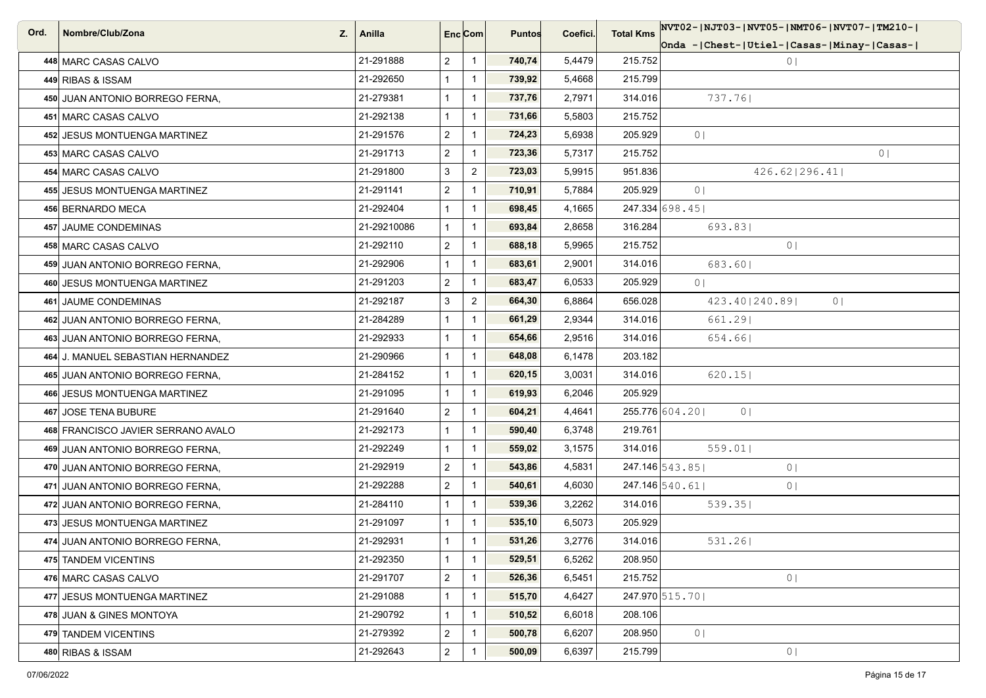| Ord. | Nombre/Club/Zona<br>Z.             | Anilla      | Enc Com        |                | <b>Puntos</b> | Coefici. | <b>Total Kms</b> | NVT02- NJT03- NVT05- NMT06- NVT07- TM210-      |
|------|------------------------------------|-------------|----------------|----------------|---------------|----------|------------------|------------------------------------------------|
|      |                                    |             |                |                |               |          |                  | Onda -  Chest-  Utiel-  Casas-  Minay-  Casas- |
|      | 448 MARC CASAS CALVO               | 21-291888   | $\overline{2}$ | $\mathbf{1}$   | 740,74        | 5,4479   | 215.752          | 0 <sub>1</sub>                                 |
|      | 449 RIBAS & ISSAM                  | 21-292650   | $\mathbf{1}$   | $\mathbf{1}$   | 739,92        | 5,4668   | 215.799          |                                                |
|      | 450 JUAN ANTONIO BORREGO FERNA.    | 21-279381   | $\mathbf{1}$   | $\mathbf{1}$   | 737,76        | 2,7971   | 314.016          | 737.76                                         |
|      | 451 MARC CASAS CALVO               | 21-292138   | $\mathbf{1}$   | $\mathbf{1}$   | 731,66        | 5,5803   | 215.752          |                                                |
|      | 452 JESUS MONTUENGA MARTINEZ       | 21-291576   | $\overline{2}$ | $\mathbf{1}$   | 724,23        | 5,6938   | 205.929          | 0 <sub>1</sub>                                 |
|      | 453 MARC CASAS CALVO               | 21-291713   | $\overline{a}$ | $\mathbf{1}$   | 723,36        | 5,7317   | 215.752          | 0 <sup>1</sup>                                 |
|      | 454 MARC CASAS CALVO               | 21-291800   | 3              | $\overline{2}$ | 723,03        | 5,9915   | 951.836          | 426.62   296.41                                |
|      | 455 JESUS MONTUENGA MARTINEZ       | 21-291141   | $\overline{2}$ | $\mathbf{1}$   | 710,91        | 5,7884   | 205.929          | 0 <sup>1</sup>                                 |
|      | 456 BERNARDO MECA                  | 21-292404   | 1              | $\mathbf{1}$   | 698,45        | 4,1665   |                  | 247.334 698.45                                 |
|      | 457 JAUME CONDEMINAS               | 21-29210086 | $\mathbf{1}$   | $\mathbf 1$    | 693,84        | 2,8658   | 316.284          | 693.831                                        |
|      | 458 MARC CASAS CALVO               | 21-292110   | $\overline{a}$ | $\mathbf{1}$   | 688,18        | 5,9965   | 215.752          | 0 <sub>1</sub>                                 |
|      | 459 JUAN ANTONIO BORREGO FERNA,    | 21-292906   | $\mathbf{1}$   | $\mathbf{1}$   | 683,61        | 2,9001   | 314.016          | 683.601                                        |
|      | 460 JESUS MONTUENGA MARTINEZ       | 21-291203   | $\overline{2}$ | $\mathbf 1$    | 683,47        | 6,0533   | 205.929          | 0 <sup>1</sup>                                 |
|      | 461 JAUME CONDEMINAS               | 21-292187   | $\mathfrak{S}$ | $\overline{2}$ | 664,30        | 6,8864   | 656.028          | 423.40   240.89  <br>0 <sub>1</sub>            |
|      | 462 JUAN ANTONIO BORREGO FERNA,    | 21-284289   | $\mathbf{1}$   | $\mathbf{1}$   | 661,29        | 2,9344   | 314.016          | 661.29                                         |
|      | 463 JUAN ANTONIO BORREGO FERNA,    | 21-292933   | $\mathbf{1}$   | $\mathbf{1}$   | 654,66        | 2,9516   | 314.016          | 654.661                                        |
|      | 464 J. MANUEL SEBASTIAN HERNANDEZ  | 21-290966   | 1              | $\mathbf{1}$   | 648,08        | 6,1478   | 203.182          |                                                |
|      | 465 JUAN ANTONIO BORREGO FERNA,    | 21-284152   | $\mathbf{1}$   | $\mathbf{1}$   | 620,15        | 3,0031   | 314.016          | 620.15                                         |
|      | 466 JESUS MONTUENGA MARTINEZ       | 21-291095   | $\mathbf{1}$   | $\mathbf{1}$   | 619,93        | 6,2046   | 205.929          |                                                |
|      | 467 JOSE TENA BUBURE               | 21-291640   | $\overline{2}$ | $\mathbf{1}$   | 604,21        | 4,4641   |                  | 255.776 604.20<br>0 <sup>1</sup>               |
|      | 468 FRANCISCO JAVIER SERRANO AVALO | 21-292173   | $\mathbf{1}$   | $\mathbf{1}$   | 590,40        | 6,3748   | 219.761          |                                                |
|      | 469 JUAN ANTONIO BORREGO FERNA,    | 21-292249   | $\mathbf{1}$   | $\mathbf{1}$   | 559,02        | 3,1575   | 314.016          | 559.01                                         |
|      | 470 JUAN ANTONIO BORREGO FERNA,    | 21-292919   | $\overline{2}$ | $\mathbf{1}$   | 543,86        | 4,5831   |                  | 247.146 543.85<br>0 <sup>1</sup>               |
|      | 471 JUAN ANTONIO BORREGO FERNA,    | 21-292288   | $\overline{2}$ | $\mathbf{1}$   | 540,61        | 4,6030   |                  | $247.146$ 540.61<br>0 <sub>1</sub>             |
|      | 472 JUAN ANTONIO BORREGO FERNA,    | 21-284110   | $\mathbf{1}$   | $\mathbf{1}$   | 539,36        | 3,2262   | 314.016          | 539.35                                         |
|      | 473 JESUS MONTUENGA MARTINEZ       | 21-291097   | $\mathbf{1}$   | $\mathbf{1}$   | 535,10        | 6,5073   | 205.929          |                                                |
|      | 474 JUAN ANTONIO BORREGO FERNA,    | 21-292931   | $\mathbf{1}$   | $\mathbf{1}$   | 531,26        | 3,2776   | 314.016          | 531.261                                        |
|      | 475 TANDEM VICENTINS               | 21-292350   | $\mathbf{1}$   | $\mathbf{1}$   | 529,51        | 6,5262   | 208.950          |                                                |
|      | 476 MARC CASAS CALVO               | 21-291707   | $\overline{c}$ | $\mathbf{1}$   | 526,36        | 6,5451   | 215.752          | 0 <sub>1</sub>                                 |
|      | 477 JESUS MONTUENGA MARTINEZ       | 21-291088   | $\mathbf{1}$   | $\mathbf{1}$   | 515,70        | 4,6427   |                  | 247.970 515.70                                 |
|      | 478 JUAN & GINES MONTOYA           | 21-290792   | $\mathbf{1}$   | $\mathbf{1}$   | 510,52        | 6,6018   | 208.106          |                                                |
|      | 479 TANDEM VICENTINS               | 21-279392   | $\overline{2}$ | $\mathbf{1}$   | 500,78        | 6,6207   | 208.950          | 0 <sub>1</sub>                                 |
|      | 480 RIBAS & ISSAM                  | 21-292643   | $\overline{a}$ | $\mathbf{1}$   | 500,09        | 6,6397   | 215.799          | 0 <sub>1</sub>                                 |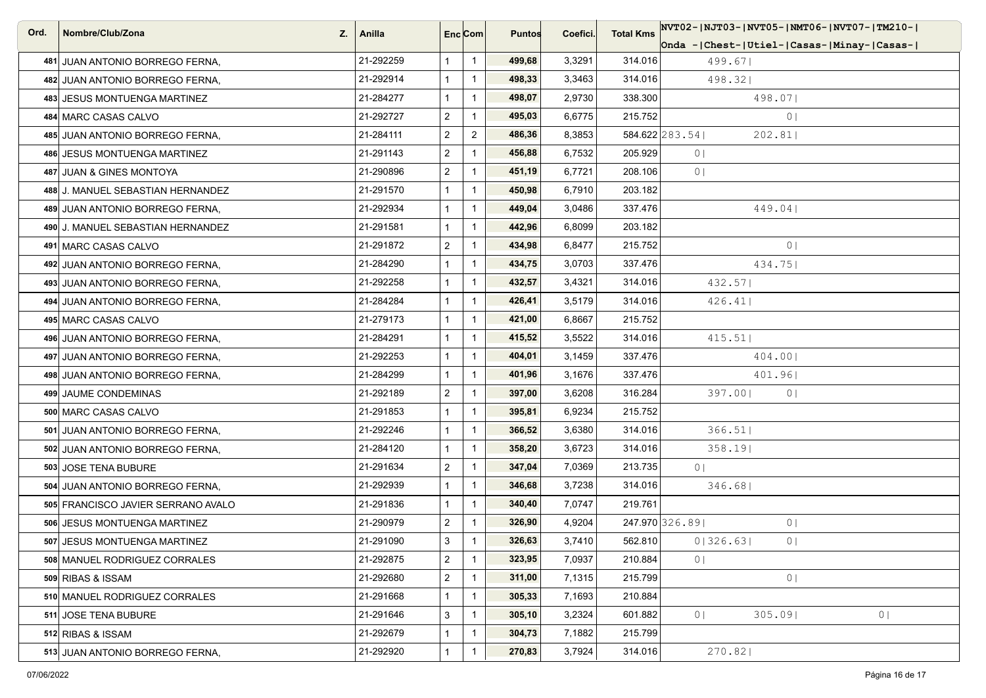| Ord. | Nombre/Club/Zona<br>Z.             | Anilla    | Enc <sub>i</sub> Com |                | <b>Puntos</b> | Coefici. | <b>Total Kms</b> | NVT02- NJT03- NVT05- NMT06- NVT07- TM210-           |
|------|------------------------------------|-----------|----------------------|----------------|---------------|----------|------------------|-----------------------------------------------------|
|      |                                    |           |                      |                |               |          |                  | Onda -   Chest-   Utiel-   Casas-   Minay-   Casas- |
|      | 481 JUAN ANTONIO BORREGO FERNA,    | 21-292259 |                      | $\overline{1}$ | 499,68        | 3,3291   | 314.016          | 499.67                                              |
|      | 482 JUAN ANTONIO BORREGO FERNA,    | 21-292914 |                      | $\mathbf{1}$   | 498,33        | 3,3463   | 314.016          | 498.32                                              |
|      | 483 JESUS MONTUENGA MARTINEZ       | 21-284277 |                      | $\overline{1}$ | 498,07        | 2,9730   | 338.300          | 498.071                                             |
|      | 484 MARC CASAS CALVO               | 21-292727 | $\overline{2}$       | $\overline{1}$ | 495,03        | 6,6775   | 215.752          | 0 <sub>1</sub>                                      |
|      | 485 JUAN ANTONIO BORREGO FERNA.    | 21-284111 | $\overline{2}$       | $\overline{2}$ | 486,36        | 8,3853   |                  | 584.622 283.54<br>202.81                            |
|      | 486 JESUS MONTUENGA MARTINEZ       | 21-291143 | $\overline{a}$       | $\mathbf{1}$   | 456,88        | 6,7532   | 205.929          | 0 <sup>1</sup>                                      |
|      | 487 JUAN & GINES MONTOYA           | 21-290896 | $\overline{2}$       | $\mathbf{1}$   | 451,19        | 6,7721   | 208.106          | 0 <sup>1</sup>                                      |
|      | 488 J. MANUEL SEBASTIAN HERNANDEZ  | 21-291570 |                      | $\mathbf{1}$   | 450,98        | 6,7910   | 203.182          |                                                     |
|      | 489 JUAN ANTONIO BORREGO FERNA.    | 21-292934 |                      | $\overline{1}$ | 449,04        | 3,0486   | 337.476          | 449.04                                              |
|      | 490 J. MANUEL SEBASTIAN HERNANDEZ  | 21-291581 |                      | $\mathbf{1}$   | 442,96        | 6,8099   | 203.182          |                                                     |
|      | 491 MARC CASAS CALVO               | 21-291872 | $\overline{2}$       | $\overline{1}$ | 434,98        | 6,8477   | 215.752          | 0 <sub>1</sub>                                      |
|      | 492 JUAN ANTONIO BORREGO FERNA,    | 21-284290 |                      | $\overline{1}$ | 434,75        | 3,0703   | 337.476          | 434.75                                              |
|      | 493 JUAN ANTONIO BORREGO FERNA,    | 21-292258 |                      | $\overline{1}$ | 432,57        | 3,4321   | 314.016          | 432.57                                              |
|      | 494 JUAN ANTONIO BORREGO FERNA,    | 21-284284 |                      | $\overline{1}$ | 426,41        | 3,5179   | 314.016          | 426.41                                              |
|      | 495 MARC CASAS CALVO               | 21-279173 |                      | $\overline{1}$ | 421,00        | 6,8667   | 215.752          |                                                     |
|      | 496 JUAN ANTONIO BORREGO FERNA,    | 21-284291 |                      | $\overline{1}$ | 415,52        | 3,5522   | 314.016          | 415.51                                              |
|      | 497 JUAN ANTONIO BORREGO FERNA,    | 21-292253 |                      | $\overline{1}$ | 404,01        | 3,1459   | 337.476          | 404.00                                              |
|      | 498 JUAN ANTONIO BORREGO FERNA,    | 21-284299 |                      | $\mathbf{1}$   | 401,96        | 3,1676   | 337.476          | 401.96                                              |
|      | 499 JAUME CONDEMINAS               | 21-292189 | $\overline{2}$       | $\mathbf{1}$   | 397,00        | 3,6208   | 316.284          | 397.00<br>0 <sup>1</sup>                            |
|      | 500 MARC CASAS CALVO               | 21-291853 |                      | $\overline{1}$ | 395,81        | 6,9234   | 215.752          |                                                     |
|      | 501 JUAN ANTONIO BORREGO FERNA,    | 21-292246 |                      | $\overline{1}$ | 366,52        | 3,6380   | 314.016          | 366.51                                              |
|      | 502 JUAN ANTONIO BORREGO FERNA,    | 21-284120 |                      | $\overline{1}$ | 358,20        | 3,6723   | 314.016          | 358.19                                              |
|      | 503 JOSE TENA BUBURE               | 21-291634 | $\overline{2}$       | $\overline{1}$ | 347,04        | 7,0369   | 213.735          | 0 <sub>1</sub>                                      |
|      | 504 JUAN ANTONIO BORREGO FERNA.    | 21-292939 |                      | $\overline{1}$ | 346,68        | 3,7238   | 314.016          | 346.68                                              |
|      | 505 FRANCISCO JAVIER SERRANO AVALO | 21-291836 |                      | $\overline{1}$ | 340,40        | 7,0747   | 219.761          |                                                     |
|      | 506 JESUS MONTUENGA MARTINEZ       | 21-290979 | $\overline{2}$       | $\mathbf{1}$   | 326,90        | 4,9204   |                  | 247.970 326.89<br>0 <sub>1</sub>                    |
|      | 507 JESUS MONTUENGA MARTINEZ       | 21-291090 | 3                    | $\mathbf{1}$   | 326,63        | 3,7410   | 562.810          | 0 326.63 <br>0 <sub>1</sub>                         |
|      | 508 MANUEL RODRIGUEZ CORRALES      | 21-292875 | $\overline{2}$       | $\overline{1}$ | 323,95        | 7,0937   | 210.884          | 0 <sup>1</sup>                                      |
|      | 509 RIBAS & ISSAM                  | 21-292680 | $\overline{c}$       | $\mathbf{1}$   | 311,00        | 7,1315   | 215.799          | 0 <sub>1</sub>                                      |
|      | 510 MANUEL RODRIGUEZ CORRALES      | 21-291668 |                      | $\overline{1}$ | 305,33        | 7,1693   | 210.884          |                                                     |
|      | 511 JOSE TENA BUBURE               | 21-291646 | 3                    | $\overline{1}$ | 305,10        | 3,2324   | 601.882          | 305.09<br>0 <sup>1</sup><br>0 <sub>1</sub>          |
|      | 512 RIBAS & ISSAM                  | 21-292679 |                      | $\mathbf{1}$   | 304,73        | 7,1882   | 215.799          |                                                     |
|      | 513 JUAN ANTONIO BORREGO FERNA,    | 21-292920 |                      | $\overline{1}$ | 270,83        | 3,7924   | 314.016          | 270.82                                              |